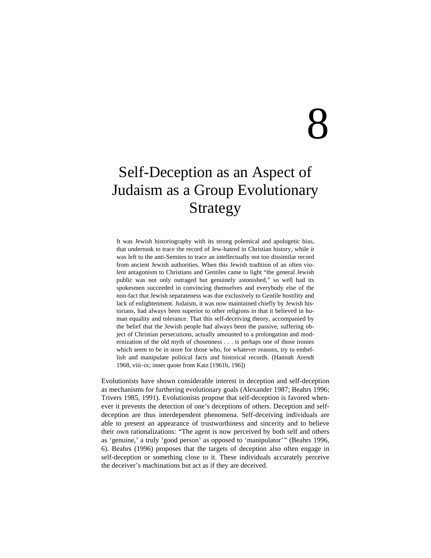# 8

# Self-Deception as an Aspect of Judaism as a Group Evolutionary Strategy

It was Jewish historiography with its strong polemical and apologetic bias, that undertook to trace the record of Jew-hatred in Christian history, while it was left to the anti-Semites to trace an intellectually not too dissimilar record from ancient Jewish authorities. When this Jewish tradition of an often violent antagonism to Christians and Gentiles came to light "the general Jewish public was not only outraged but genuinely astonished," so well had its spokesmen succeeded in convincing themselves and everybody else of the non-fact that Jewish separateness was due exclusively to Gentile hostility and lack of enlightenment. Judaism, it was now maintained chiefly by Jewish historians, had always been superior to other religions in that it believed in human equality and tolerance. That this self-deceiving theory, accompanied by the belief that the Jewish people had always been the passive, suffering object of Christian persecutions, actually amounted to a prolongation and modernization of the old myth of chosenness . . . is perhaps one of those ironies which seem to be in store for those who, for whatever reasons, try to embellish and manipulate political facts and historical records. (Hannah Arendt 1968, viii–ix; inner quote from Katz [1961b, 196])

Evolutionists have shown considerable interest in deception and self-deception as mechanisms for furthering evolutionary goals (Alexander 1987; Beahrs 1996; Trivers 1985, 1991). Evolutionists propose that self-deception is favored whenever it prevents the detection of one's deceptions of others. Deception and selfdeception are thus interdependent phenomena. Self-deceiving individuals are able to present an appearance of trustworthiness and sincerity and to believe their own rationalizations: "The agent is now perceived by both self and others as 'genuine,' a truly 'good person' as opposed to 'manipulator'" (Beahrs 1996, 6). Beahrs (1996) proposes that the targets of deception also often engage in self-deception or something close to it. These individuals accurately perceive the deceiver's machinations but act as if they are deceived.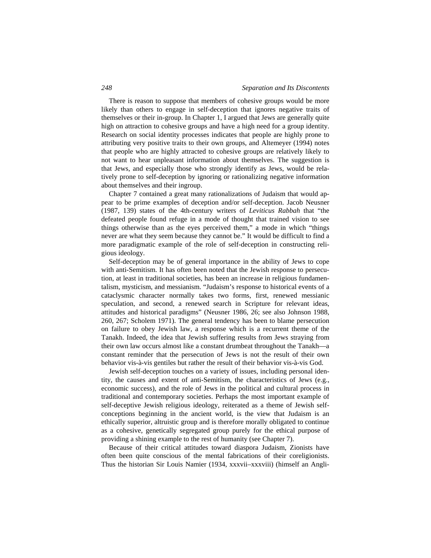#### *248 Separation and Its Discontents*

There is reason to suppose that members of cohesive groups would be more likely than others to engage in self-deception that ignores negative traits of themselves or their in-group. In Chapter 1, I argued that Jews are generally quite high on attraction to cohesive groups and have a high need for a group identity. Research on social identity processes indicates that people are highly prone to attributing very positive traits to their own groups, and Altemeyer (1994) notes that people who are highly attracted to cohesive groups are relatively likely to not want to hear unpleasant information about themselves. The suggestion is that Jews, and especially those who strongly identify as Jews, would be relatively prone to self-deception by ignoring or rationalizing negative information about themselves and their ingroup.

Chapter 7 contained a great many rationalizations of Judaism that would appear to be prime examples of deception and/or self-deception. Jacob Neusner (1987, 139) states of the 4th-century writers of *Leviticus Rabbah* that "the defeated people found refuge in a mode of thought that trained vision to see things otherwise than as the eyes perceived them," a mode in which "things never are what they seem because they cannot be." It would be difficult to find a more paradigmatic example of the role of self-deception in constructing religious ideology.

Self-deception may be of general importance in the ability of Jews to cope with anti-Semitism. It has often been noted that the Jewish response to persecution, at least in traditional societies, has been an increase in religious fundamentalism, mysticism, and messianism. "Judaism's response to historical events of a cataclysmic character normally takes two forms, first, renewed messianic speculation, and second, a renewed search in Scripture for relevant ideas, attitudes and historical paradigms" (Neusner 1986, 26; see also Johnson 1988, 260, 267; Scholem 1971). The general tendency has been to blame persecution on failure to obey Jewish law, a response which is a recurrent theme of the Tanakh. Indeed, the idea that Jewish suffering results from Jews straying from their own law occurs almost like a constant drumbeat throughout the Tanakh—a constant reminder that the persecution of Jews is not the result of their own behavior vis-à-vis gentiles but rather the result of their behavior vis-à-vis God.

Jewish self-deception touches on a variety of issues, including personal identity, the causes and extent of anti-Semitism, the characteristics of Jews (e.g., economic success), and the role of Jews in the political and cultural process in traditional and contemporary societies. Perhaps the most important example of self-deceptive Jewish religious ideology, reiterated as a theme of Jewish selfconceptions beginning in the ancient world, is the view that Judaism is an ethically superior, altruistic group and is therefore morally obligated to continue as a cohesive, genetically segregated group purely for the ethical purpose of providing a shining example to the rest of humanity (see Chapter 7).

Because of their critical attitudes toward diaspora Judaism, Zionists have often been quite conscious of the mental fabrications of their coreligionists. Thus the historian Sir Louis Namier (1934, xxxvii–xxxviii) (himself an Angli-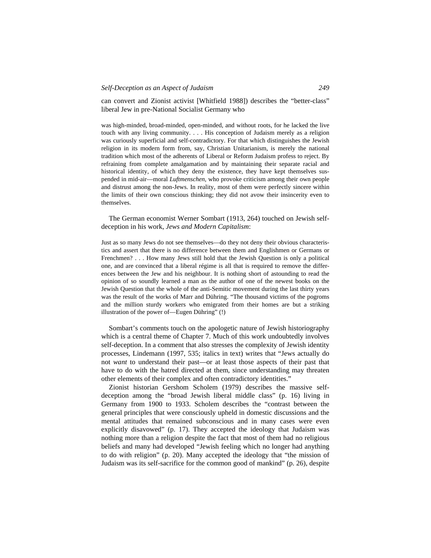can convert and Zionist activist [Whitfield 1988]) describes the "better-class" liberal Jew in pre-National Socialist Germany who

was high-minded, broad-minded, open-minded, and without roots, for he lacked the live touch with any living community. . . . His conception of Judaism merely as a religion was curiously superficial and self-contradictory. For that which distinguishes the Jewish religion in its modern form from, say, Christian Unitarianism, is merely the national tradition which most of the adherents of Liberal or Reform Judaism profess to reject. By refraining from complete amalgamation and by maintaining their separate racial and historical identity, of which they deny the existence, they have kept themselves suspended in mid-air—moral *Luftmenschen*, who provoke criticism among their own people and distrust among the non-Jews. In reality, most of them were perfectly sincere within the limits of their own conscious thinking; they did not avow their insincerity even to themselves.

## The German economist Werner Sombart (1913, 264) touched on Jewish selfdeception in his work, *Jews and Modern Capitalism*:

Just as so many Jews do not see themselves—do they not deny their obvious characteristics and assert that there is no difference between them and Englishmen or Germans or Frenchmen? . . . How many Jews still hold that the Jewish Question is only a political one, and are convinced that a liberal régime is all that is required to remove the differences between the Jew and his neighbour. It is nothing short of astounding to read the opinion of so soundly learned a man as the author of one of the newest books on the Jewish Question that the whole of the anti-Semitic movement during the last thirty years was the result of the works of Marr and Dühring. "The thousand victims of the pogroms and the million sturdy workers who emigrated from their homes are but a striking illustration of the power of—Eugen Dühring" (!)

Sombart's comments touch on the apologetic nature of Jewish historiography which is a central theme of Chapter 7. Much of this work undoubtedly involves self-deception. In a comment that also stresses the complexity of Jewish identity processes, Lindemann (1997, 535; italics in text) writes that "Jews actually do not *want* to understand their past—or at least those aspects of their past that have to do with the hatred directed at them, since understanding may threaten other elements of their complex and often contradictory identities."

Zionist historian Gershom Scholem (1979) describes the massive selfdeception among the "broad Jewish liberal middle class" (p. 16) living in Germany from 1900 to 1933. Scholem describes the "contrast between the general principles that were consciously upheld in domestic discussions and the mental attitudes that remained subconscious and in many cases were even explicitly disavowed" (p. 17). They accepted the ideology that Judaism was nothing more than a religion despite the fact that most of them had no religious beliefs and many had developed "Jewish feeling which no longer had anything to do with religion" (p. 20). Many accepted the ideology that "the mission of Judaism was its self-sacrifice for the common good of mankind" (p. 26), despite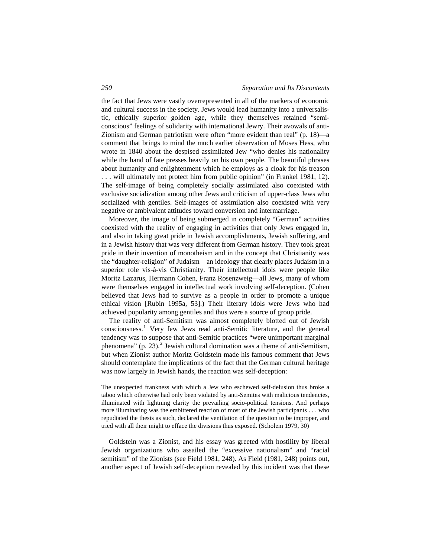#### *250 Separation and Its Discontents*

the fact that Jews were vastly overrepresented in all of the markers of economic and cultural success in the society. Jews would lead humanity into a universalistic, ethically superior golden age, while they themselves retained "semiconscious" feelings of solidarity with international Jewry. Their avowals of anti-Zionism and German patriotism were often "more evident than real" (p. 18)—a comment that brings to mind the much earlier observation of Moses Hess, who wrote in 1840 about the despised assimilated Jew "who denies his nationality while the hand of fate presses heavily on his own people. The beautiful phrases about humanity and enlightenment which he employs as a cloak for his treason . . . will ultimately not protect him from public opinion" (in Frankel 1981, 12). The self-image of being completely socially assimilated also coexisted with exclusive socialization among other Jews and criticism of upper-class Jews who socialized with gentiles. Self-images of assimilation also coexisted with very negative or ambivalent attitudes toward conversion and intermarriage.

Moreover, the image of being submerged in completely "German" activities coexisted with the reality of engaging in activities that only Jews engaged in, and also in taking great pride in Jewish accomplishments, Jewish suffering, and in a Jewish history that was very different from German history. They took great pride in their invention of monotheism and in the concept that Christianity was the "daughter-religion" of Judaism—an ideology that clearly places Judaism in a superior role vis-à-vis Christianity. Their intellectual idols were people like Moritz Lazarus, Hermann Cohen, Franz Rosenzweig—all Jews, many of whom were themselves engaged in intellectual work involving self-deception. (Cohen believed that Jews had to survive as a people in order to promote a unique ethical vision [Rubin 1995a, 53].) Their literary idols were Jews who had achieved popularity among gentiles and thus were a source of group pride.

The reality of anti-Semitism was almost completely blotted out of Jewish consciousness.<sup>[1](#page-15-0)</sup> Very few Jews read anti-Semitic literature, and the general tendency was to suppose that anti-Semitic practices "were unimportant marginal phenomena" (p. [2](#page-15-1)3).<sup>2</sup> Jewish cultural domination was a theme of anti-Semitism, but when Zionist author Moritz Goldstein made his famous comment that Jews should contemplate the implications of the fact that the German cultural heritage was now largely in Jewish hands, the reaction was self-deception:

The unexpected frankness with which a Jew who eschewed self-delusion thus broke a taboo which otherwise had only been violated by anti-Semites with malicious tendencies, illuminated with lightning clarity the prevailing socio-political tensions. And perhaps more illuminating was the embittered reaction of most of the Jewish participants . . . who repudiated the thesis as such, declared the ventilation of the question to be improper, and tried with all their might to efface the divisions thus exposed. (Scholem 1979, 30)

Goldstein was a Zionist, and his essay was greeted with hostility by liberal Jewish organizations who assailed the "excessive nationalism" and "racial semitism" of the Zionists (see Field 1981, 248). As Field (1981, 248) points out, another aspect of Jewish self-deception revealed by this incident was that these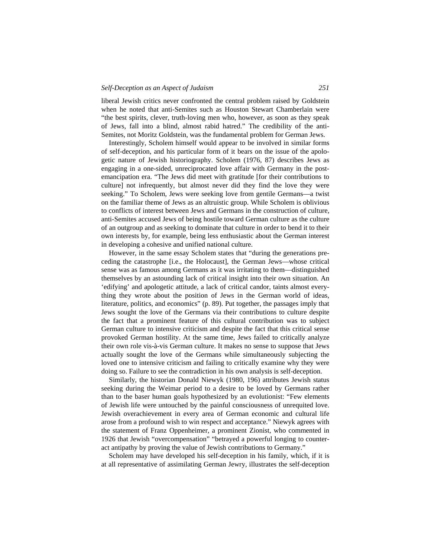## *Self-Deception as an Aspect of Judaism 251*

liberal Jewish critics never confronted the central problem raised by Goldstein when he noted that anti-Semites such as Houston Stewart Chamberlain were "the best spirits, clever, truth-loving men who, however, as soon as they speak of Jews, fall into a blind, almost rabid hatred." The credibility of the anti-Semites, not Moritz Goldstein, was the fundamental problem for German Jews.

Interestingly, Scholem himself would appear to be involved in similar forms of self-deception, and his particular form of it bears on the issue of the apologetic nature of Jewish historiography. Scholem (1976, 87) describes Jews as engaging in a one-sided, unreciprocated love affair with Germany in the postemancipation era. "The Jews did meet with gratitude [for their contributions to culture] not infrequently, but almost never did they find the love they were seeking." To Scholem, Jews were seeking love from gentile Germans—a twist on the familiar theme of Jews as an altruistic group. While Scholem is oblivious to conflicts of interest between Jews and Germans in the construction of culture, anti-Semites accused Jews of being hostile toward German culture as the culture of an outgroup and as seeking to dominate that culture in order to bend it to their own interests by, for example, being less enthusiastic about the German interest in developing a cohesive and unified national culture.

However, in the same essay Scholem states that "during the generations preceding the catastrophe [i.e., the Holocaust], the German Jews—whose critical sense was as famous among Germans as it was irritating to them—distinguished themselves by an astounding lack of critical insight into their own situation. An 'edifying' and apologetic attitude, a lack of critical candor, taints almost everything they wrote about the position of Jews in the German world of ideas, literature, politics, and economics" (p. 89). Put together, the passages imply that Jews sought the love of the Germans via their contributions to culture despite the fact that a prominent feature of this cultural contribution was to subject German culture to intensive criticism and despite the fact that this critical sense provoked German hostility. At the same time, Jews failed to critically analyze their own role vis-à-vis German culture. It makes no sense to suppose that Jews actually sought the love of the Germans while simultaneously subjecting the loved one to intensive criticism and failing to critically examine why they were doing so. Failure to see the contradiction in his own analysis is self-deception.

Similarly, the historian Donald Niewyk (1980, 196) attributes Jewish status seeking during the Weimar period to a desire to be loved by Germans rather than to the baser human goals hypothesized by an evolutionist: "Few elements of Jewish life were untouched by the painful consciousness of unrequited love. Jewish overachievement in every area of German economic and cultural life arose from a profound wish to win respect and acceptance." Niewyk agrees with the statement of Franz Oppenheimer, a prominent Zionist, who commented in 1926 that Jewish "overcompensation" "betrayed a powerful longing to counteract antipathy by proving the value of Jewish contributions to Germany."

Scholem may have developed his self-deception in his family, which, if it is at all representative of assimilating German Jewry, illustrates the self-deception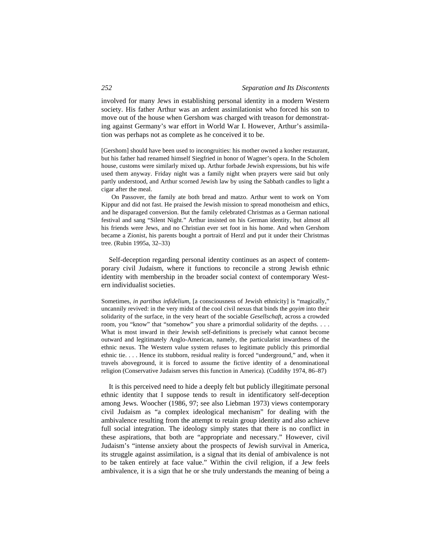involved for many Jews in establishing personal identity in a modern Western society. His father Arthur was an ardent assimilationist who forced his son to move out of the house when Gershom was charged with treason for demonstrating against Germany's war effort in World War I. However, Arthur's assimilation was perhaps not as complete as he conceived it to be.

[Gershom] should have been used to incongruities: his mother owned a kosher restaurant, but his father had renamed himself Siegfried in honor of Wagner's opera. In the Scholem house, customs were similarly mixed up. Arthur forbade Jewish expressions, but his wife used them anyway. Friday night was a family night when prayers were said but only partly understood, and Arthur scorned Jewish law by using the Sabbath candles to light a cigar after the meal.

 On Passover, the family ate both bread and matzo. Arthur went to work on Yom Kippur and did not fast. He praised the Jewish mission to spread monotheism and ethics, and he disparaged conversion. But the family celebrated Christmas as a German national festival and sang "Silent Night." Arthur insisted on his German identity, but almost all his friends were Jews, and no Christian ever set foot in his home. And when Gershom became a Zionist, his parents bought a portrait of Herzl and put it under their Christmas tree. (Rubin 1995a, 32–33)

Self-deception regarding personal identity continues as an aspect of contemporary civil Judaism, where it functions to reconcile a strong Jewish ethnic identity with membership in the broader social context of contemporary Western individualist societies.

Sometimes, *in partibus infidelium*, [a consciousness of Jewish ethnicity] is "magically," uncannily revived: in the very midst of the cool civil nexus that binds the *goyim* into their solidarity of the surface, in the very heart of the sociable *Gesellschaft*, across a crowded room, you "know" that "somehow" you share a primordial solidarity of the depths. . . . What is most inward in their Jewish self-definitions is precisely what cannot become outward and legitimately Anglo-American, namely, the particularist inwardness of the ethnic nexus. The Western value system refuses to legitimate publicly this primordial ethnic tie. . . . Hence its stubborn, residual reality is forced "underground," and, when it travels aboveground, it is forced to assume the fictive identity of a denominational religion (Conservative Judaism serves this function in America). (Cuddihy 1974, 86–87)

It is this perceived need to hide a deeply felt but publicly illegitimate personal ethnic identity that I suppose tends to result in identificatory self-deception among Jews. Woocher (1986, 97; see also Liebman 1973) views contemporary civil Judaism as "a complex ideological mechanism" for dealing with the ambivalence resulting from the attempt to retain group identity and also achieve full social integration. The ideology simply states that there is no conflict in these aspirations, that both are "appropriate and necessary." However, civil Judaism's "intense anxiety about the prospects of Jewish survival in America, its struggle against assimilation, is a signal that its denial of ambivalence is not to be taken entirely at face value." Within the civil religion, if a Jew feels ambivalence, it is a sign that he or she truly understands the meaning of being a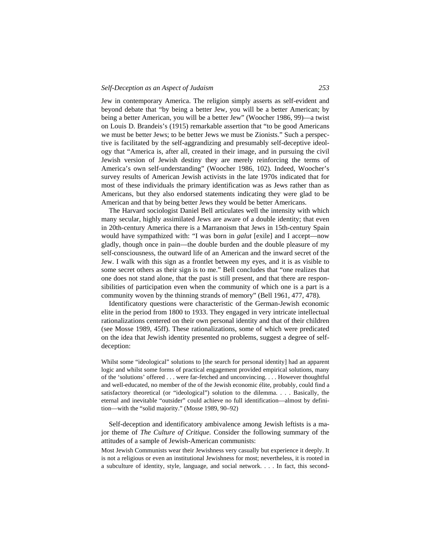## *Self-Deception as an Aspect of Judaism 253*

Jew in contemporary America. The religion simply asserts as self-evident and beyond debate that "by being a better Jew, you will be a better American; by being a better American, you will be a better Jew" (Woocher 1986, 99)—a twist on Louis D. Brandeis's (1915) remarkable assertion that "to be good Americans we must be better Jews; to be better Jews we must be Zionists." Such a perspective is facilitated by the self-aggrandizing and presumably self-deceptive ideology that "America is, after all, created in their image, and in pursuing the civil Jewish version of Jewish destiny they are merely reinforcing the terms of America's own self-understanding" (Woocher 1986, 102). Indeed, Woocher's survey results of American Jewish activists in the late 1970s indicated that for most of these individuals the primary identification was as Jews rather than as Americans, but they also endorsed statements indicating they were glad to be American and that by being better Jews they would be better Americans.

The Harvard sociologist Daniel Bell articulates well the intensity with which many secular, highly assimilated Jews are aware of a double identity; that even in 20th-century America there is a Marranoism that Jews in 15th-century Spain would have sympathized with: "I was born in *galut* [exile] and I accept—now gladly, though once in pain—the double burden and the double pleasure of my self-consciousness, the outward life of an American and the inward secret of the Jew. I walk with this sign as a frontlet between my eyes, and it is as visible to some secret others as their sign is to me." Bell concludes that "one realizes that one does not stand alone, that the past is still present, and that there are responsibilities of participation even when the community of which one is a part is a community woven by the thinning strands of memory" (Bell 1961, 477, 478).

Identificatory questions were characteristic of the German-Jewish economic elite in the period from 1800 to 1933. They engaged in very intricate intellectual rationalizations centered on their own personal identity and that of their children (see Mosse 1989, 45ff). These rationalizations, some of which were predicated on the idea that Jewish identity presented no problems, suggest a degree of selfdeception:

Whilst some "ideological" solutions to [the search for personal identity] had an apparent logic and whilst some forms of practical engagement provided empirical solutions, many of the 'solutions' offered . . . were far-fetched and unconvincing. . . . However thoughtful and well-educated, no member of the of the Jewish economic élite, probably, could find a satisfactory theoretical (or "ideological") solution to the dilemma. . . . Basically, the eternal and inevitable "outsider" could achieve no full identification—almost by definition—with the "solid majority." (Mosse 1989, 90–92)

Self-deception and identificatory ambivalence among Jewish leftists is a major theme of *The Culture of Critique.* Consider the following summary of the attitudes of a sample of Jewish-American communists:

Most Jewish Communists wear their Jewishness very casually but experience it deeply. It is not a religious or even an institutional Jewishness for most; nevertheless, it is rooted in a subculture of identity, style, language, and social network. . . . In fact, this second-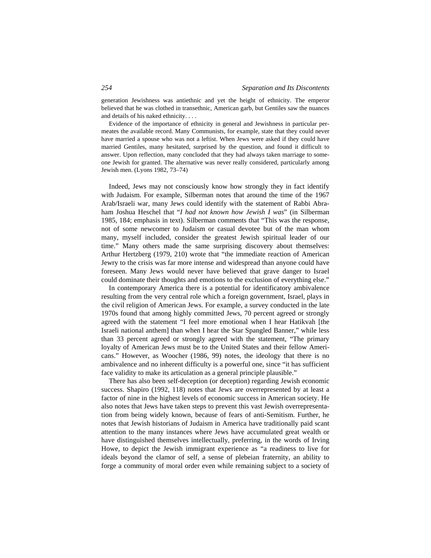generation Jewishness was antiethnic and yet the height of ethnicity. The emperor believed that he was clothed in transethnic, American garb, but Gentiles saw the nuances and details of his naked ethnicity. . . .

Evidence of the importance of ethnicity in general and Jewishness in particular permeates the available record. Many Communists, for example, state that they could never have married a spouse who was not a leftist. When Jews were asked if they could have married Gentiles, many hesitated, surprised by the question, and found it difficult to answer. Upon reflection, many concluded that they had always taken marriage to someone Jewish for granted. The alternative was never really considered, particularly among Jewish men. (Lyons 1982, 73–74)

Indeed, Jews may not consciously know how strongly they in fact identify with Judaism. For example, Silberman notes that around the time of the 1967 Arab/Israeli war, many Jews could identify with the statement of Rabbi Abraham Joshua Heschel that "*I had not known how Jewish I was*" (in Silberman 1985, 184; emphasis in text). Silberman comments that "This was the response, not of some newcomer to Judaism or casual devotee but of the man whom many, myself included, consider the greatest Jewish spiritual leader of our time." Many others made the same surprising discovery about themselves: Arthur Hertzberg (1979, 210) wrote that "the immediate reaction of American Jewry to the crisis was far more intense and widespread than anyone could have foreseen. Many Jews would never have believed that grave danger to Israel could dominate their thoughts and emotions to the exclusion of everything else."

In contemporary America there is a potential for identificatory ambivalence resulting from the very central role which a foreign government, Israel, plays in the civil religion of American Jews. For example, a survey conducted in the late 1970s found that among highly committed Jews, 70 percent agreed or strongly agreed with the statement "I feel more emotional when I hear Hatikvah [the Israeli national anthem] than when I hear the Star Spangled Banner," while less than 33 percent agreed or strongly agreed with the statement, "The primary loyalty of American Jews must be to the United States and their fellow Americans." However, as Woocher (1986, 99) notes, the ideology that there is no ambivalence and no inherent difficulty is a powerful one, since "it has sufficient face validity to make its articulation as a general principle plausible."

There has also been self-deception (or deception) regarding Jewish economic success. Shapiro (1992, 118) notes that Jews are overrepresented by at least a factor of nine in the highest levels of economic success in American society. He also notes that Jews have taken steps to prevent this vast Jewish overrepresentation from being widely known, because of fears of anti-Semitism. Further, he notes that Jewish historians of Judaism in America have traditionally paid scant attention to the many instances where Jews have accumulated great wealth or have distinguished themselves intellectually, preferring, in the words of Irving Howe, to depict the Jewish immigrant experience as "a readiness to live for ideals beyond the clamor of self, a sense of plebeian fraternity, an ability to forge a community of moral order even while remaining subject to a society of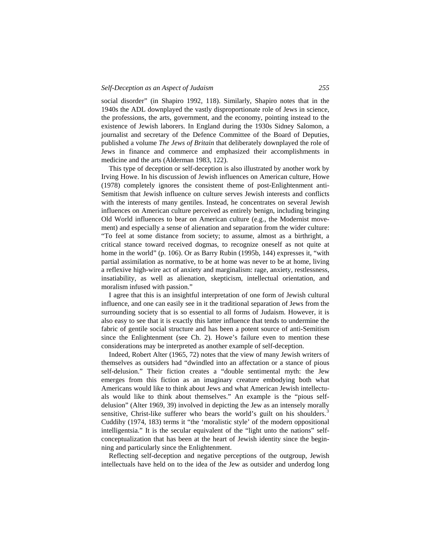## *Self-Deception as an Aspect of Judaism 255*

social disorder" (in Shapiro 1992, 118). Similarly, Shapiro notes that in the 1940s the ADL downplayed the vastly disproportionate role of Jews in science, the professions, the arts, government, and the economy, pointing instead to the existence of Jewish laborers. In England during the 1930s Sidney Salomon, a journalist and secretary of the Defence Committee of the Board of Deputies, published a volume *The Jews of Britain* that deliberately downplayed the role of Jews in finance and commerce and emphasized their accomplishments in medicine and the arts (Alderman 1983, 122).

This type of deception or self-deception is also illustrated by another work by Irving Howe. In his discussion of Jewish influences on American culture, Howe (1978) completely ignores the consistent theme of post-Enlightenment anti-Semitism that Jewish influence on culture serves Jewish interests and conflicts with the interests of many gentiles. Instead, he concentrates on several Jewish influences on American culture perceived as entirely benign, including bringing Old World influences to bear on American culture (e.g., the Modernist movement) and especially a sense of alienation and separation from the wider culture: "To feel at some distance from society; to assume, almost as a birthright, a critical stance toward received dogmas, to recognize oneself as not quite at home in the world" (p. 106). Or as Barry Rubin (1995b, 144) expresses it, "with partial assimilation as normative, to be at home was never to be at home, living a reflexive high-wire act of anxiety and marginalism: rage, anxiety, restlessness, insatiability, as well as alienation, skepticism, intellectual orientation, and moralism infused with passion."

I agree that this is an insightful interpretation of one form of Jewish cultural influence, and one can easily see in it the traditional separation of Jews from the surrounding society that is so essential to all forms of Judaism. However, it is also easy to see that it is exactly this latter influence that tends to undermine the fabric of gentile social structure and has been a potent source of anti-Semitism since the Enlightenment (see Ch. 2). Howe's failure even to mention these considerations may be interpreted as another example of self-deception.

Indeed, Robert Alter (1965, 72) notes that the view of many Jewish writers of themselves as outsiders had "dwindled into an affectation or a stance of pious self-delusion." Their fiction creates a "double sentimental myth: the Jew emerges from this fiction as an imaginary creature embodying both what Americans would like to think about Jews and what American Jewish intellectuals would like to think about themselves." An example is the "pious selfdelusion" (Alter 1969, 39) involved in depicting the Jew as an intensely morally sensitive, Christ-like sufferer who bears the world's guilt on his shoulders.<sup>[3](#page-15-1)</sup> Cuddihy (1974, 183) terms it "the 'moralistic style' of the modern oppositional intelligentsia." It is the secular equivalent of the "light unto the nations" selfconceptualization that has been at the heart of Jewish identity since the beginning and particularly since the Enlightenment.

Reflecting self-deception and negative perceptions of the outgroup, Jewish intellectuals have held on to the idea of the Jew as outsider and underdog long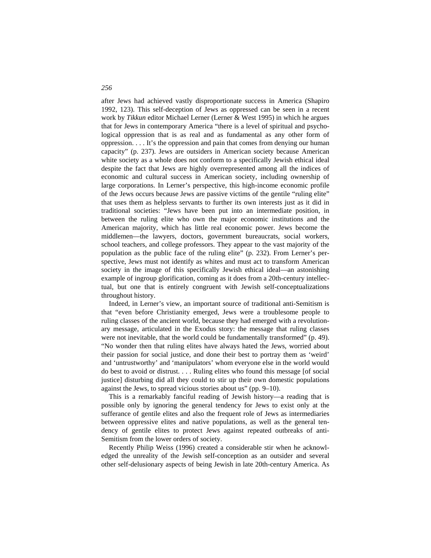after Jews had achieved vastly disproportionate success in America (Shapiro 1992, 123). This self-deception of Jews as oppressed can be seen in a recent work by *Tikkun* editor Michael Lerner (Lerner & West 1995) in which he argues that for Jews in contemporary America "there is a level of spiritual and psychological oppression that is as real and as fundamental as any other form of oppression. . . . It's the oppression and pain that comes from denying our human capacity" (p. 237). Jews are outsiders in American society because American white society as a whole does not conform to a specifically Jewish ethical ideal despite the fact that Jews are highly overrepresented among all the indices of economic and cultural success in American society, including ownership of large corporations. In Lerner's perspective, this high-income economic profile of the Jews occurs because Jews are passive victims of the gentile "ruling elite" that uses them as helpless servants to further its own interests just as it did in traditional societies: "Jews have been put into an intermediate position, in between the ruling elite who own the major economic institutions and the American majority, which has little real economic power. Jews become the middlemen—the lawyers, doctors, government bureaucrats, social workers, school teachers, and college professors. They appear to the vast majority of the population as the public face of the ruling elite" (p. 232). From Lerner's perspective, Jews must not identify as whites and must act to transform American society in the image of this specifically Jewish ethical ideal—an astonishing example of ingroup glorification, coming as it does from a 20th-century intellectual, but one that is entirely congruent with Jewish self-conceptualizations throughout history.

Indeed, in Lerner's view, an important source of traditional anti-Semitism is that "even before Christianity emerged, Jews were a troublesome people to ruling classes of the ancient world, because they had emerged with a revolutionary message, articulated in the Exodus story: the message that ruling classes were not inevitable, that the world could be fundamentally transformed" (p. 49). "No wonder then that ruling elites have always hated the Jews, worried about their passion for social justice, and done their best to portray them as 'weird' and 'untrustworthy' and 'manipulators' whom everyone else in the world would do best to avoid or distrust. . . . Ruling elites who found this message [of social justice] disturbing did all they could to stir up their own domestic populations against the Jews, to spread vicious stories about us" (pp. 9–10).

This is a remarkably fanciful reading of Jewish history—a reading that is possible only by ignoring the general tendency for Jews to exist only at the sufferance of gentile elites and also the frequent role of Jews as intermediaries between oppressive elites and native populations, as well as the general tendency of gentile elites to protect Jews against repeated outbreaks of anti-Semitism from the lower orders of society.

Recently Philip Weiss (1996) created a considerable stir when he acknowledged the unreality of the Jewish self-conception as an outsider and several other self-delusionary aspects of being Jewish in late 20th-century America. As

#### *256 Separation and Its Discontents*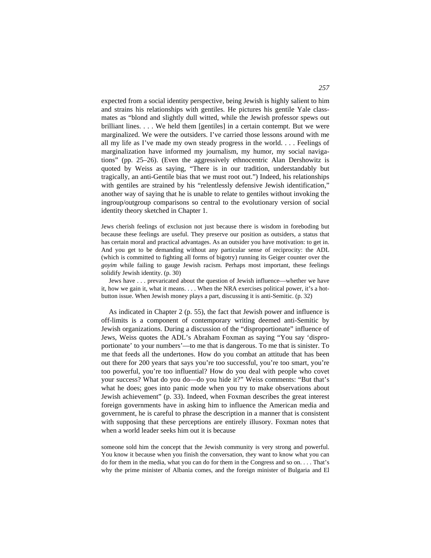expected from a social identity perspective, being Jewish is highly salient to him and strains his relationships with gentiles. He pictures his gentile Yale classmates as "blond and slightly dull witted, while the Jewish professor spews out brilliant lines. . . . We held them [gentiles] in a certain contempt. But we were marginalized. We were the outsiders. I've carried those lessons around with me all my life as I've made my own steady progress in the world. . . . Feelings of marginalization have informed my journalism, my humor, my social navigations" (pp. 25–26). (Even the aggressively ethnocentric Alan Dershowitz is quoted by Weiss as saying, "There is in our tradition, understandably but tragically, an anti-Gentile bias that we must root out.") Indeed, his relationships with gentiles are strained by his "relentlessly defensive Jewish identification," another way of saying that he is unable to relate to gentiles without invoking the ingroup/outgroup comparisons so central to the evolutionary version of social identity theory sketched in Chapter 1.

Jews cherish feelings of exclusion not just because there is wisdom in foreboding but because these feelings are useful. They preserve our position as outsiders, a status that has certain moral and practical advantages. As an outsider you have motivation: to get in. And you get to be demanding without any particular sense of reciprocity: the ADL (which is committed to fighting all forms of bigotry) running its Geiger counter over the *goyim* while failing to gauge Jewish racism. Perhaps most important, these feelings solidify Jewish identity. (p. 30)

Jews have . . . prevaricated about the question of Jewish influence—whether we have it, how we gain it, what it means. . . . When the NRA exercises political power, it's a hotbutton issue. When Jewish money plays a part, discussing it is anti-Semitic. (p. 32)

As indicated in Chapter 2 (p. 55), the fact that Jewish power and influence is off-limits is a component of contemporary writing deemed anti-Semitic by Jewish organizations. During a discussion of the "disproportionate" influence of Jews, Weiss quotes the ADL's Abraham Foxman as saying "You say 'disproportionate' to your numbers'—to me that is dangerous. To me that is sinister. To me that feeds all the undertones. How do you combat an attitude that has been out there for 200 years that says you're too successful, you're too smart, you're too powerful, you're too influential? How do you deal with people who covet your success? What do you do—do you hide it?" Weiss comments: "But that's what he does; goes into panic mode when you try to make observations about Jewish achievement" (p. 33). Indeed, when Foxman describes the great interest foreign governments have in asking him to influence the American media and government, he is careful to phrase the description in a manner that is consistent with supposing that these perceptions are entirely illusory. Foxman notes that when a world leader seeks him out it is because

someone sold him the concept that the Jewish community is very strong and powerful. You know it because when you finish the conversation, they want to know what you can do for them in the media, what you can do for them in the Congress and so on. . . . That's why the prime minister of Albania comes, and the foreign minister of Bulgaria and El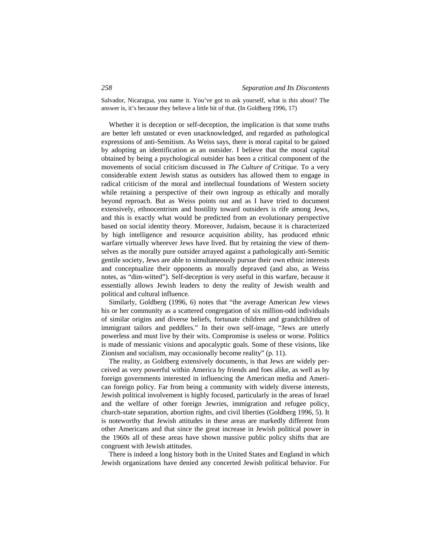Salvador, Nicaragua, you name it. You've got to ask yourself, what is this about? The answer is, it's because they believe a little bit of that. (In Goldberg 1996, 17)

Whether it is deception or self-deception, the implication is that some truths are better left unstated or even unacknowledged, and regarded as pathological expressions of anti-Semitism. As Weiss says, there is moral capital to be gained by adopting an identification as an outsider. I believe that the moral capital obtained by being a psychological outsider has been a critical component of the movements of social criticism discussed in *The Culture of Critique*. To a very considerable extent Jewish status as outsiders has allowed them to engage in radical criticism of the moral and intellectual foundations of Western society while retaining a perspective of their own ingroup as ethically and morally beyond reproach. But as Weiss points out and as I have tried to document extensively, ethnocentrism and hostility toward outsiders is rife among Jews, and this is exactly what would be predicted from an evolutionary perspective based on social identity theory. Moreover, Judaism, because it is characterized by high intelligence and resource acquisition ability, has produced ethnic warfare virtually wherever Jews have lived. But by retaining the view of themselves as the morally pure outsider arrayed against a pathologically anti-Semitic gentile society, Jews are able to simultaneously pursue their own ethnic interests and conceptualize their opponents as morally depraved (and also, as Weiss notes, as "dim-witted"). Self-deception is very useful in this warfare, because it essentially allows Jewish leaders to deny the reality of Jewish wealth and political and cultural influence.

Similarly, Goldberg (1996, 6) notes that "the average American Jew views his or her community as a scattered congregation of six million-odd individuals of similar origins and diverse beliefs, fortunate children and grandchildren of immigrant tailors and peddlers." In their own self-image, "Jews are utterly powerless and must live by their wits. Compromise is useless or worse. Politics is made of messianic visions and apocalyptic goals. Some of these visions, like Zionism and socialism, may occasionally become reality" (p. 11).

The reality, as Goldberg extensively documents, is that Jews are widely perceived as very powerful within America by friends and foes alike, as well as by foreign governments interested in influencing the American media and American foreign policy. Far from being a community with widely diverse interests, Jewish political involvement is highly focused, particularly in the areas of Israel and the welfare of other foreign Jewries, immigration and refugee policy, church-state separation, abortion rights, and civil liberties (Goldberg 1996, 5). It is noteworthy that Jewish attitudes in these areas are markedly different from other Americans and that since the great increase in Jewish political power in the 1960s all of these areas have shown massive public policy shifts that are congruent with Jewish attitudes.

There is indeed a long history both in the United States and England in which Jewish organizations have denied any concerted Jewish political behavior. For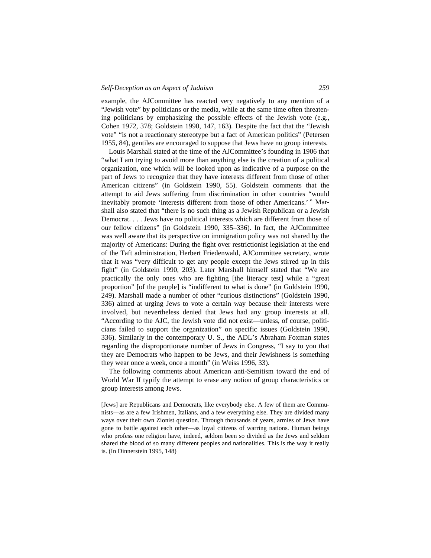#### *Self-Deception as an Aspect of Judaism 259*

example, the AJCommittee has reacted very negatively to any mention of a "Jewish vote" by politicians or the media, while at the same time often threatening politicians by emphasizing the possible effects of the Jewish vote (e.g., Cohen 1972, 378; Goldstein 1990, 147, 163). Despite the fact that the "Jewish vote" "is not a reactionary stereotype but a fact of American politics" (Petersen 1955, 84), gentiles are encouraged to suppose that Jews have no group interests.

Louis Marshall stated at the time of the AJCommittee's founding in 1906 that "what I am trying to avoid more than anything else is the creation of a political organization, one which will be looked upon as indicative of a purpose on the part of Jews to recognize that they have interests different from those of other American citizens" (in Goldstein 1990, 55). Goldstein comments that the attempt to aid Jews suffering from discrimination in other countries "would inevitably promote 'interests different from those of other Americans.' " Marshall also stated that "there is no such thing as a Jewish Republican or a Jewish Democrat. . . . Jews have no political interests which are different from those of our fellow citizens" (in Goldstein 1990, 335–336). In fact, the AJCommittee was well aware that its perspective on immigration policy was not shared by the majority of Americans: During the fight over restrictionist legislation at the end of the Taft administration, Herbert Friedenwald, AJCommittee secretary, wrote that it was "very difficult to get any people except the Jews stirred up in this fight" (in Goldstein 1990, 203). Later Marshall himself stated that "We are practically the only ones who are fighting [the literacy test] while a "great proportion" [of the people] is "indifferent to what is done" (in Goldstein 1990, 249). Marshall made a number of other "curious distinctions" (Goldstein 1990, 336) aimed at urging Jews to vote a certain way because their interests were involved, but nevertheless denied that Jews had any group interests at all. "According to the AJC, the Jewish vote did not exist—unless, of course, politicians failed to support the organization" on specific issues (Goldstein 1990, 336). Similarly in the contemporary U. S., the ADL's Abraham Foxman states regarding the disproportionate number of Jews in Congress, "I say to you that they are Democrats who happen to be Jews, and their Jewishness is something they wear once a week, once a month" (in Weiss 1996, 33).

The following comments about American anti-Semitism toward the end of World War II typify the attempt to erase any notion of group characteristics or group interests among Jews.

[Jews] are Republicans and Democrats, like everybody else. A few of them are Communists—as are a few Irishmen, Italians, and a few everything else. They are divided many ways over their own Zionist question. Through thousands of years, armies of Jews have gone to battle against each other—as loyal citizens of warring nations. Human beings who profess one religion have, indeed, seldom been so divided as the Jews and seldom shared the blood of so many different peoples and nationalities. This is the way it really is. (In Dinnerstein 1995, 148)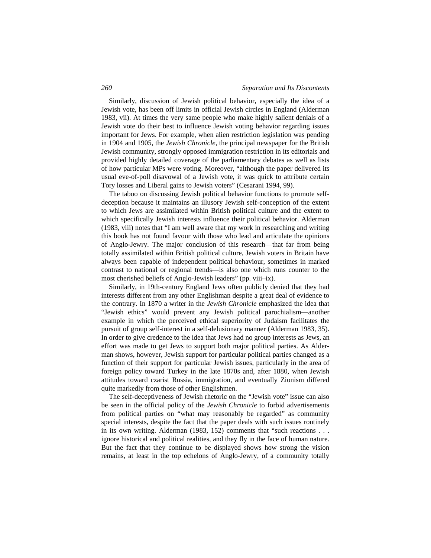#### *260 Separation and Its Discontents*

Similarly, discussion of Jewish political behavior, especially the idea of a Jewish vote, has been off limits in official Jewish circles in England (Alderman 1983, vii). At times the very same people who make highly salient denials of a Jewish vote do their best to influence Jewish voting behavior regarding issues important for Jews. For example, when alien restriction legislation was pending in 1904 and 1905, the *Jewish Chronicle*, the principal newspaper for the British Jewish community, strongly opposed immigration restriction in its editorials and provided highly detailed coverage of the parliamentary debates as well as lists of how particular MPs were voting. Moreover, "although the paper delivered its usual eve-of-poll disavowal of a Jewish vote, it was quick to attribute certain Tory losses and Liberal gains to Jewish voters" (Cesarani 1994, 99).

The taboo on discussing Jewish political behavior functions to promote selfdeception because it maintains an illusory Jewish self-conception of the extent to which Jews are assimilated within British political culture and the extent to which specifically Jewish interests influence their political behavior. Alderman (1983, viii) notes that "I am well aware that my work in researching and writing this book has not found favour with those who lead and articulate the opinions of Anglo-Jewry. The major conclusion of this research—that far from being totally assimilated within British political culture, Jewish voters in Britain have always been capable of independent political behaviour, sometimes in marked contrast to national or regional trends—is also one which runs counter to the most cherished beliefs of Anglo-Jewish leaders" (pp. viii–ix).

Similarly, in 19th-century England Jews often publicly denied that they had interests different from any other Englishman despite a great deal of evidence to the contrary. In 1870 a writer in the *Jewish Chronicle* emphasized the idea that "Jewish ethics" would prevent any Jewish political parochialism—another example in which the perceived ethical superiority of Judaism facilitates the pursuit of group self-interest in a self-delusionary manner (Alderman 1983, 35). In order to give credence to the idea that Jews had no group interests as Jews, an effort was made to get Jews to support both major political parties. As Alderman shows, however, Jewish support for particular political parties changed as a function of their support for particular Jewish issues, particularly in the area of foreign policy toward Turkey in the late 1870s and, after 1880, when Jewish attitudes toward czarist Russia, immigration, and eventually Zionism differed quite markedly from those of other Englishmen.

The self-deceptiveness of Jewish rhetoric on the "Jewish vote" issue can also be seen in the official policy of the *Jewish Chronicle* to forbid advertisements from political parties on "what may reasonably be regarded" as community special interests, despite the fact that the paper deals with such issues routinely in its own writing. Alderman (1983, 152) comments that "such reactions . . . ignore historical and political realities, and they fly in the face of human nature. But the fact that they continue to be displayed shows how strong the vision remains, at least in the top echelons of Anglo-Jewry, of a community totally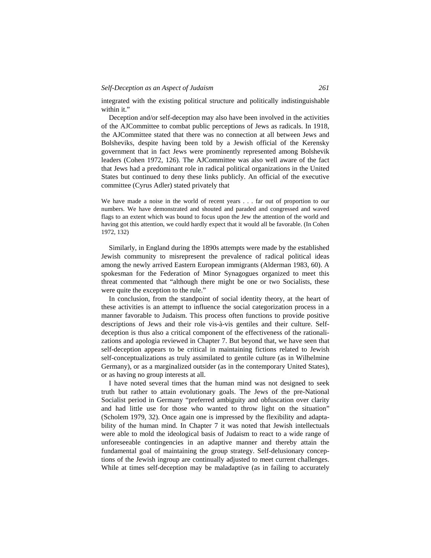#### *Self-Deception as an Aspect of Judaism 261*

integrated with the existing political structure and politically indistinguishable within it."

Deception and/or self-deception may also have been involved in the activities of the AJCommittee to combat public perceptions of Jews as radicals. In 1918, the AJCommittee stated that there was no connection at all between Jews and Bolsheviks, despite having been told by a Jewish official of the Kerensky government that in fact Jews were prominently represented among Bolshevik leaders (Cohen 1972, 126). The AJCommittee was also well aware of the fact that Jews had a predominant role in radical political organizations in the United States but continued to deny these links publicly. An official of the executive committee (Cyrus Adler) stated privately that

We have made a noise in the world of recent years . . . far out of proportion to our numbers. We have demonstrated and shouted and paraded and congressed and waved flags to an extent which was bound to focus upon the Jew the attention of the world and having got this attention, we could hardly expect that it would all be favorable. (In Cohen 1972, 132)

Similarly, in England during the 1890s attempts were made by the established Jewish community to misrepresent the prevalence of radical political ideas among the newly arrived Eastern European immigrants (Alderman 1983, 60). A spokesman for the Federation of Minor Synagogues organized to meet this threat commented that "although there might be one or two Socialists, these were quite the exception to the rule."

In conclusion, from the standpoint of social identity theory, at the heart of these activities is an attempt to influence the social categorization process in a manner favorable to Judaism. This process often functions to provide positive descriptions of Jews and their role vis-à-vis gentiles and their culture. Selfdeception is thus also a critical component of the effectiveness of the rationalizations and apologia reviewed in Chapter 7. But beyond that, we have seen that self-deception appears to be critical in maintaining fictions related to Jewish self-conceptualizations as truly assimilated to gentile culture (as in Wilhelmine Germany), or as a marginalized outsider (as in the contemporary United States), or as having no group interests at all.

I have noted several times that the human mind was not designed to seek truth but rather to attain evolutionary goals. The Jews of the pre-National Socialist period in Germany "preferred ambiguity and obfuscation over clarity and had little use for those who wanted to throw light on the situation" (Scholem 1979, 32). Once again one is impressed by the flexibility and adaptability of the human mind. In Chapter 7 it was noted that Jewish intellectuals were able to mold the ideological basis of Judaism to react to a wide range of unforeseeable contingencies in an adaptive manner and thereby attain the fundamental goal of maintaining the group strategy. Self-delusionary conceptions of the Jewish ingroup are continually adjusted to meet current challenges. While at times self-deception may be maladaptive (as in failing to accurately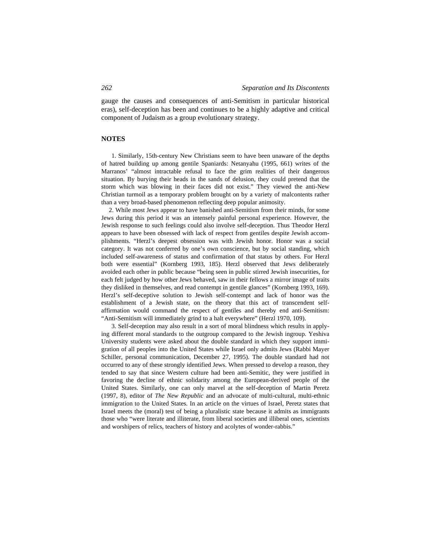<span id="page-15-1"></span>gauge the causes and consequences of anti-Semitism in particular historical eras), self-deception has been and continues to be a highly adaptive and critical component of Judaism as a group evolutionary strategy.

## **NOTES**

<span id="page-15-0"></span>1. Similarly, 15th-century New Christians seem to have been unaware of the depths of hatred building up among gentile Spaniards: Netanyahu (1995, 661) writes of the Marranos' "almost intractable refusal to face the grim realities of their dangerous situation. By burying their heads in the sands of delusion, they could pretend that the storm which was blowing in their faces did not exist." They viewed the anti-New Christian turmoil as a temporary problem brought on by a variety of malcontents rather than a very broad-based phenomenon reflecting deep popular animosity.

2. While most Jews appear to have banished anti-Semitism from their minds, for some Jews during this period it was an intensely painful personal experience. However, the Jewish response to such feelings could also involve self-deception. Thus Theodor Herzl appears to have been obsessed with lack of respect from gentiles despite Jewish accomplishments. "Herzl's deepest obsession was with Jewish honor. Honor was a social category. It was not conferred by one's own conscience, but by social standing, which included self-awareness of status and confirmation of that status by others. For Herzl both were essential" (Kornberg 1993, 185). Herzl observed that Jews deliberately avoided each other in public because "being seen in public stirred Jewish insecurities, for each felt judged by how other Jews behaved, saw in their fellows a mirror image of traits they disliked in themselves, and read contempt in gentile glances" (Kornberg 1993, 169). Herzl's self-deceptive solution to Jewish self-contempt and lack of honor was the establishment of a Jewish state, on the theory that this act of transcendent selfaffirmation would command the respect of gentiles and thereby end anti-Semitism: "Anti-Semitism will immediately grind to a halt everywhere" (Herzl 1970, 109).

3. Self-deception may also result in a sort of moral blindness which results in applying different moral standards to the outgroup compared to the Jewish ingroup. Yeshiva University students were asked about the double standard in which they support immigration of all peoples into the United States while Israel only admits Jews (Rabbi Mayer Schiller, personal communication, December 27, 1995). The double standard had not occurred to any of these strongly identified Jews. When pressed to develop a reason, they tended to say that since Western culture had been anti-Semitic, they were justified in favoring the decline of ethnic solidarity among the European-derived people of the United States. Similarly, one can only marvel at the self-deception of Martin Peretz (1997, 8), editor of *The New Republic* and an advocate of multi-cultural, multi-ethnic immigration to the United States. In an article on the virtues of Israel, Peretz states that Israel meets the (moral) test of being a pluralistic state because it admits as immigrants those who "were literate and illiterate, from liberal societies and illiberal ones, scientists and worshipers of relics, teachers of history and acolytes of wonder-rabbis."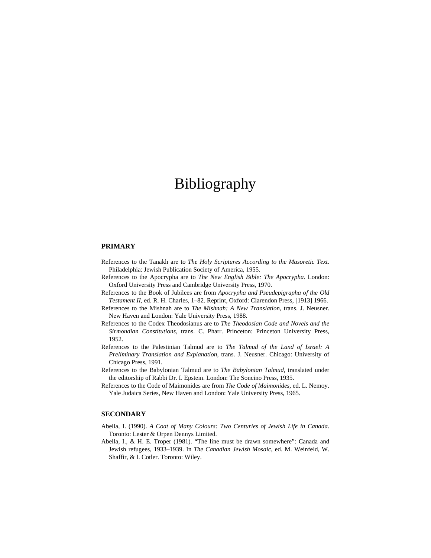## **PRIMARY**

- References to the Tanakh are to *The Holy Scriptures According to the Masoretic Text.* Philadelphia: Jewish Publication Society of America, 1955.
- References to the Apocrypha are to *The New English Bible: The Apocrypha*. London: Oxford University Press and Cambridge University Press, 1970.
- References to the Book of Jubilees are from *Apocrypha and Pseudepigrapha of the Old Testament II*, ed. R. H. Charles, 1–82. Reprint, Oxford: Clarendon Press, [1913] 1966.
- References to the Mishnah are to *The Mishnah: A New Translation*, trans. J. Neusner. New Haven and London: Yale University Press, 1988.
- References to the Codex Theodosianus are to *The Theodosian Code and Novels and the Sirmondian Constitutions*, trans. C. Pharr. Princeton: Princeton University Press, 1952.
- References to the Palestinian Talmud are to *The Talmud of the Land of Israel: A Preliminary Translation and Explanation*, trans. J. Neusner. Chicago: University of Chicago Press, 1991.
- References to the Babylonian Talmud are to *The Babylonian Talmud*, translated under the editorship of Rabbi Dr. I. Epstein. London: The Soncino Press, 1935.
- References to the Code of Maimonides are from *The Code of Maimonides*, ed. L. Nemoy. Yale Judaica Series, New Haven and London: Yale University Press, 1965.

#### **SECONDARY**

- Abella, I. (1990). *A Coat of Many Colours: Two Centuries of Jewish Life in Canada*. Toronto: Lester & Orpen Dennys Limited.
- Abella, I., & H. E. Troper (1981). "The line must be drawn somewhere": Canada and Jewish refugees, 1933–1939. In *The Canadian Jewish Mosaic*, ed. M. Weinfeld, W. Shaffir, & I. Cotler. Toronto: Wiley.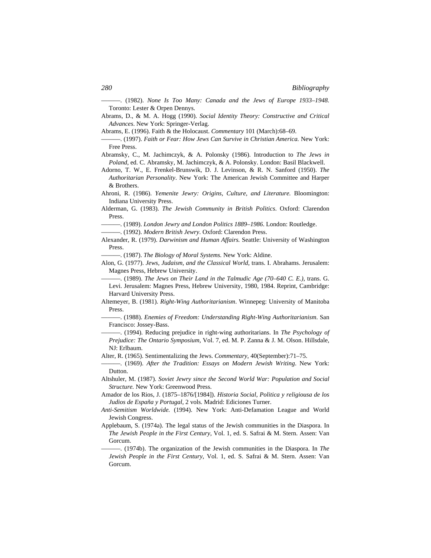———. (1982). *None Is Too Many: Canada and the Jews of Europe 1933–1948.* Toronto: Lester & Orpen Dennys.

- Abrams, D., & M. A. Hogg (1990). *Social Identity Theory: Constructive and Critical Advances*. New York: Springer-Verlag.
- Abrams, E. (1996). Faith & the Holocaust. *Commentary* 101 (March):68–69.
- ———. (1997). *Faith or Fear: How Jews Can Survive in Christian America.* New York: Free Press.
- Abramsky, C., M. Jachimczyk, & A. Polonsky (1986). Introduction to *The Jews in Poland*, ed. C. Abramsky, M. Jachimczyk, & A. Polonsky. London: Basil Blackwell.
- Adorno, T. W., E. Frenkel-Brunswik, D. J. Levinson, & R. N. Sanford (1950). *The Authoritarian Personality*. New York: The American Jewish Committee and Harper & Brothers.
- Ahroni, R. (1986). *Yemenite Jewry: Origins, Culture, and Literature.* Bloomington: Indiana University Press.
- Alderman, G. (1983). *The Jewish Community in British Politics*. Oxford: Clarendon Press.

———. (1989). *London Jewry and London Politics 1889–1986*. London: Routledge.

- ———. (1992). *Modern British Jewry*. Oxford: Clarendon Press.
- Alexander, R. (1979). *Darwinism and Human Affairs.* Seattle: University of Washington Press.
- ———. (1987). *The Biology of Moral Systems.* New York: Aldine.
- Alon, G. (1977). *Jews, Judaism, and the Classical World*, trans. I. Abrahams. Jerusalem: Magnes Press, Hebrew University.

———. (1989). *The Jews on Their Land in the Talmudic Age (70–640 C. E.)*, trans. G. Levi. Jerusalem: Magnes Press, Hebrew University, 1980, 1984. Reprint, Cambridge: Harvard University Press.

- Altemeyer, B. (1981). *Right-Wing Authoritarianism*. Winnepeg: University of Manitoba Press.
- ———. (1988). *Enemies of Freedom: Understanding Right-Wing Authoritarianism*. San Francisco: Jossey-Bass.
- ———. (1994). Reducing prejudice in right-wing authoritarians. In *The Psychology of Prejudice: The Ontario Symposium,* Vol. 7, ed. M. P. Zanna & J. M. Olson. Hillsdale, NJ: Erlbaum.
- Alter, R. (1965). Sentimentalizing the Jews. *Commentary,* 40(September):71–75.
- ———. (1969). *After the Tradition: Essays on Modern Jewish Writing*. New York: Dutton.
- Altshuler, M. (1987). *Soviet Jewry since the Second World War: Population and Social Structure.* New York: Greenwood Press.
- Amador de los Rios, J. (1875–1876/[1984]). *Historia Social, Politica y religiousa de los Judios de España y Portugal*, 2 vols. Madrid: Ediciones Turner.
- *Anti-Semitism Worldwide.* (1994). New York: Anti-Defamation League and World Jewish Congress.
- Applebaum, S. (1974a). The legal status of the Jewish communities in the Diaspora. In *The Jewish People in the First Century*, Vol. 1, ed. S. Safrai & M. Stern. Assen: Van Gorcum.
	- ———. (1974b). The organization of the Jewish communities in the Diaspora. In *The Jewish People in the First Century*, Vol. 1, ed. S. Safrai & M. Stern. Assen: Van Gorcum.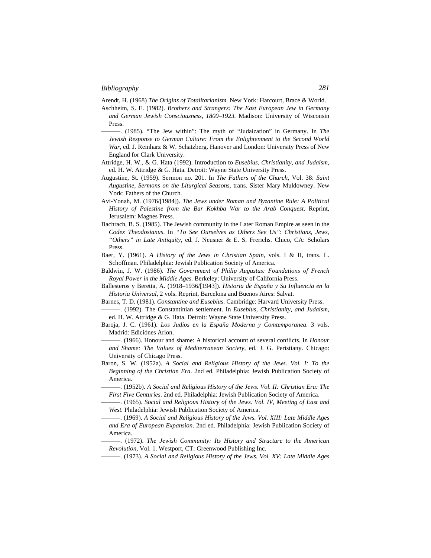Arendt, H. (1968) *The Origins of Totalitarianism.* New York: Harcourt, Brace & World.

- Aschheim, S. E. (1982). *Brothers and Strangers: The East European Jew in Germany and German Jewish Consciousness, 1800–1923.* Madison: University of Wisconsin Press.
- ———. (1985). "The Jew within": The myth of "Judaization" in Germany. In *The Jewish Response to German Culture: From the Enlightenment to the Second World War*, ed. J. Reinharz & W. Schatzberg. Hanover and London: University Press of New England for Clark University.
- Attridge, H. W., & G. Hata (1992). Introduction to *Eusebius, Christianity, and Judaism*, ed. H. W. Attridge & G. Hata. Detroit: Wayne State University Press.
- Augustine, St. (1959). Sermon no. 201. In *The Fathers of the Church,* Vol. 38: *Saint Augustine, Sermons on the Liturgical Seasons*, trans. Sister Mary Muldowney. New York: Fathers of the Church.
- Avi-Yonah, M. (1976/[1984]). *The Jews under Roman and Byzantine Rule: A Political History of Palestine from the Bar Kokhba War to the Arab Conquest*. Reprint, Jerusalem: Magnes Press.
- Bachrach, B. S. (1985). The Jewish community in the Later Roman Empire as seen in the *Codex Theodosianus*. In *"To See Ourselves as Others See Us"*: *Christians, Jews, "Others" in Late Antiquity*, ed. J. Neusner & E. S. Frerichs. Chico, CA: Scholars Press.
- Baer, Y. (1961). *A History of the Jews in Christian Spain*, vols. I & II, trans. L. Schoffman. Philadelphia: Jewish Publication Society of America.
- Baldwin, J. W. (1986). *The Government of Philip Augustus: Foundations of French Royal Power in the Middle Ages*. Berkeley: University of California Press.
- Ballesteros y Beretta, A. (1918–1936/[1943]). *Historia de España y Su Influencia en la Historia Universal*, 2 vols. Reprint, Barcelona and Buenos Aires: Salvat.
- Barnes, T. D. (1981). *Constantine and Eusebius*. Cambridge: Harvard University Press.
- ———. (1992). The Constantinian settlement. In *Eusebius, Christianity, and Judaism*, ed. H. W. Attridge & G. Hata. Detroit: Wayne State University Press.
- Baroja, J. C. (1961). *Los Judios en la España Moderna y Comtemporanea*. 3 vols. Madrid: Ediciónes Arion.
- ———. (1966). Honour and shame: A historical account of several conflicts. In *Honour and Shame: The Values of Mediterranean Society*, ed. J. G. Peristiany. Chicago: University of Chicago Press.
- Baron, S. W. (1952a). *A Social and Religious History of the Jews. Vol. I: To the Beginning of the Christian Era*. 2nd ed. Philadelphia: Jewish Publication Society of America.
- ———. (1952b). *A Social and Religious History of the Jews. Vol. II: Christian Era: The First Five Centuries*. 2nd ed. Philadelphia: Jewish Publication Society of America.
- ———. (1965). *Social and Religious History of the Jews. Vol. IV*, *Meeting of East and West.* Philadelphia: Jewish Publication Society of America.
- ———. (1969). *A Social and Religious History of the Jews. Vol. XIII: Late Middle Ages and Era of European Expansion*. 2nd ed. Philadelphia: Jewish Publication Society of America.
- ———. (1972). *The Jewish Community: Its History and Structure to the American Revolution*, Vol. 1. Westport, CT: Greenwood Publishing Inc.
- ———. (1973). *A Social and Religious History of the Jews. Vol. XV: Late Middle Ages*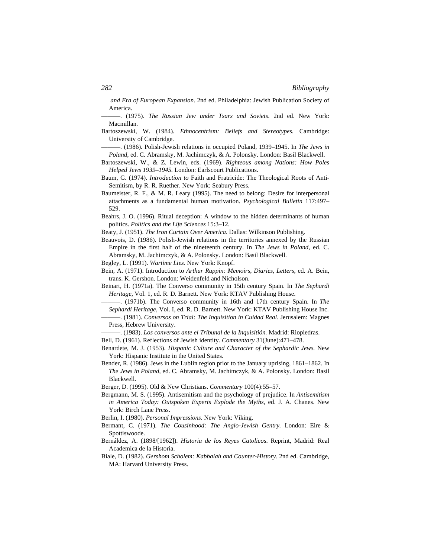*and Era of European Expansion*. 2nd ed. Philadelphia: Jewish Publication Society of America.

———. (1975). *The Russian Jew under Tsars and Soviets*. 2nd ed. New York: Macmillan.

Bartoszewski, W. (1984). *Ethnocentrism: Beliefs and Stereotypes.* Cambridge: University of Cambridge.

———. (1986). Polish-Jewish relations in occupied Poland, 1939–1945. In *The Jews in Poland*, ed. C. Abramsky, M. Jachimczyk, & A. Polonsky. London: Basil Blackwell.

- Bartoszewski, W., & Z. Lewin, eds. (1969). *Righteous among Nations: How Poles Helped Jews 1939–1945.* London: Earlscourt Publications.
- Baum, G. (1974). *Introduction to* Faith and Fratricide: The Theological Roots of Anti-Semitism, by R. R. Ruether. New York: Seabury Press.
- Baumeister, R. F., & M. R. Leary (1995). The need to belong: Desire for interpersonal attachments as a fundamental human motivation. *Psychological Bulletin* 117:497*–* 529.
- Beahrs, J. O. (1996). Ritual deception: A window to the hidden determinants of human politics. *Politics and the Life Sciences* 15:3–12.
- Beaty, J. (1951). *The Iron Curtain Over America*. Dallas: Wilkinson Publishing.
- Beauvois, D. (1986). Polish-Jewish relations in the territories annexed by the Russian Empire in the first half of the nineteenth century. In *The Jews in Poland*, ed. C. Abramsky, M. Jachimczyk, & A. Polonsky. London: Basil Blackwell.
- Begley, L. (1991). *Wartime Lies.* New York: Knopf.
- Bein, A. (1971). Introduction to *Arthur Ruppin: Memoirs, Diaries, Letters*, ed. A. Bein, trans. K. Gershon. London: Weidenfeld and Nicholson.
- Beinart, H. (1971a). The Converso community in 15th century Spain. In *The Sephardi Heritage*, Vol. 1, ed. R. D. Barnett. New York: KTAV Publishing House.
- ———. (1971b). The Converso community in 16th and 17th century Spain. In *The Sephardi Heritage*, Vol. I, ed. R. D. Barnett. New York: KTAV Publishing House Inc.
- ———. (1981). *Conversos on Trial: The Inquisition in Cuidad Real*. Jerusalem: Magnes Press, Hebrew University.
- ———. (1983). *Los conversos ante el Tribunal de la Inquisitión.* Madrid: Riopiedras.
- Bell, D. (1961). Reflections of Jewish identity. *Commentary* 31(June):471–478.
- Benardete, M. J. (1953). *Hispanic Culture and Character of the Sephardic Jews.* New York: Hispanic Institute in the United States.
- Bender, R. (1986). Jews in the Lublin region prior to the January uprising, 1861–1862. In *The Jews in Poland*, ed. C. Abramsky, M. Jachimczyk, & A. Polonsky. London: Basil Blackwell.
- Berger, D. (1995). Old & New Christians. *Commentary* 100(4):55–57.

Bergmann, M. S. (1995). Antisemitism and the psychology of prejudice. In *Antisemitism in America Today: Outspoken Experts Explode the Myths*, ed. J. A. Chanes. New York: Birch Lane Press.

- Berlin, I. (1980). *Personal Impressions*. New York: Viking.
- Bermant, C. (1971). *The Cousinhood: The Anglo-Jewish Gentry.* London: Eire & Spottiswoode.
- Bernáldez, A. (1898/[1962]). *Historia de los Reyes Catolicos*. Reprint, Madrid: Real Academica de la Historia.
- Biale, D. (1982). *Gershom Scholem: Kabbalah and Counter-History*. 2nd ed. Cambridge, MA: Harvard University Press.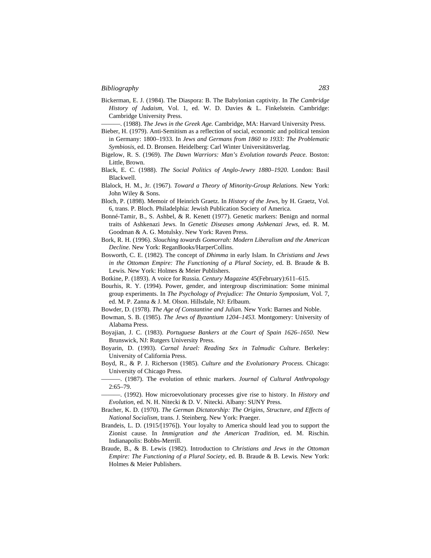Bickerman, E. J. (1984). The Diaspora: B. The Babylonian captivity. In *The Cambridge History of Judaism*, Vol. 1, ed. W. D. Davies & L. Finkelstein. Cambridge: Cambridge University Press.

———. (1988). *The Jews in the Greek Age.* Cambridge, MA: Harvard University Press.

- Bieber, H. (1979). Anti-Semitism as a reflection of social, economic and political tension in Germany: 1800–1933. In *Jews and Germans from 1860 to 1933: The Problematic Symbiosis*, ed. D. Bronsen. Heidelberg: Carl Winter Universitätsverlag.
- Bigelow, R. S. (1969). *The Dawn Warriors: Man's Evolution towards Peace.* Boston: Little, Brown.
- Black, E. C. (1988). *The Social Politics of Anglo-Jewry 1880–1920*. London: Basil Blackwell.
- Blalock, H. M., Jr. (1967). *Toward a Theory of Minority-Group Relations.* New York: John Wiley & Sons.
- Bloch, P. (1898). Memoir of Heinrich Graetz. In *History of the Jews*, by H. Graetz, Vol. 6, trans. P. Bloch. Philadelphia: Jewish Publication Society of America.
- Bonné-Tamir, B., S. Ashbel, & R. Kenett (1977). Genetic markers: Benign and normal traits of Ashkenazi Jews. In *Genetic Diseases among Ashkenazi Jews*, ed. R. M. Goodman & A. G. Motulsky. New York: Raven Press.
- Bork, R. H. (1996). *Slouching towards Gomorrah: Modern Liberalism and the American Decline.* New York: ReganBooks/HarperCollins.
- Bosworth, C. E. (1982). The concept of *Dhimma* in early Islam. In *Christians and Jews in the Ottoman Empire: The Functioning of a Plural Society*, ed. B. Braude & B. Lewis*.* New York: Holmes & Meier Publishers.
- Botkine, P. (1893). A voice for Russia. *Century Magazine* 45(February):611–615.
- Bourhis, R. Y. (1994). Power, gender, and intergroup discrimination: Some minimal group experiments. In *The Psychology of Prejudice: The Ontario Symposium*, Vol. 7, ed. M. P. Zanna & J. M. Olson. Hillsdale, NJ: Erlbaum.
- Bowder, D. (1978). *The Age of Constantine and Julian.* New York: Barnes and Noble.
- Bowman, S. B. (1985). *The Jews of Byzantium 1204–1453.* Montgomery: University of Alabama Press.
- Boyajian, J. C. (1983). *Portuguese Bankers at the Court of Spain 1626–1650.* New Brunswick, NJ: Rutgers University Press.
- Boyarin, D. (1993). *Carnal Israel: Reading Sex in Talmudic Culture.* Berkeley: University of California Press.
- Boyd, R., & P. J. Richerson (1985). *Culture and the Evolutionary Process.* Chicago: University of Chicago Press.
- ———. (1987). The evolution of ethnic markers. *Journal of Cultural Anthropology* 2:65–79.
- ———. (1992). How microevolutionary processes give rise to history. In *History and Evolution*, ed. N. H. Nitecki & D. V. Nitecki. Albany: SUNY Press.
- Bracher, K. D. (1970). *The German Dictatorship: The Origins, Structure, and Effects of National Socialism*, trans. J. Steinberg. New York: Praeger.
- Brandeis, L. D. (1915/[1976]). Your loyalty to America should lead you to support the Zionist cause. In *Immigration and the American Tradition*, ed. M. Rischin*.*  Indianapolis: Bobbs-Merrill.
- Braude, B., & B. Lewis (1982). Introduction to *Christians and Jews in the Ottoman Empire: The Functioning of a Plural Society*, ed. B. Braude & B. Lewis*.* New York: Holmes & Meier Publishers.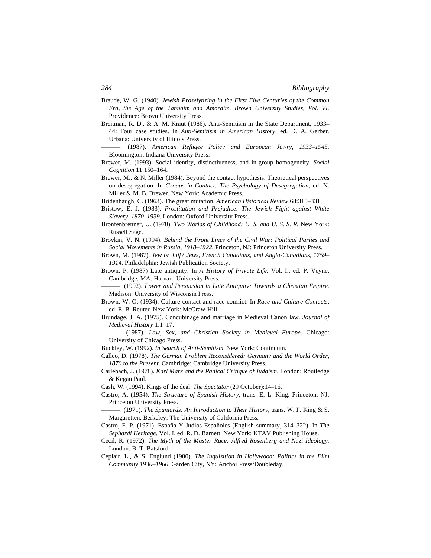- Braude, W. G. (1940). *Jewish Proselytizing in the First Five Centuries of the Common Era, the Age of the Tannaim and Amoraim. Brown University Studies, Vol. VI.* Providence: Brown University Press.
- Breitman, R. D., & A. M. Kraut (1986). Anti-Semitism in the State Department, 1933– 44: Four case studies. In *Anti-Semitism in American History*, ed. D. A. Gerber*.*  Urbana: University of Illinois Press.
- ———. (1987). *American Refugee Policy and European Jewry, 1933–1945.* Bloomington: Indiana University Press.
- Brewer, M. (1993). Social identity, distinctiveness, and in-group homogeneity. *Social Cognition* 11:150–164.
- Brewer, M., & N. Miller (1984). Beyond the contact hypothesis: Theoretical perspectives on desegregation. In *Groups in Contact: The Psychology of Desegregation*, ed. N. Miller & M. B. Brewer. New York: Academic Press.
- Bridenbaugh, C. (1963). The great mutation. *American Historical Review* 68:315–331.
- Bristow, E. J. (1983). *Prostitution and Prejudice: The Jewish Fight against White Slavery, 1870–1939.* London: Oxford University Press.
- Bronfenbrenner, U. (1970). *Two Worlds of Childhood: U. S. and U. S. S. R.* New York: Russell Sage.
- Brovkin, V. N. (1994). *Behind the Front Lines of the Civil War: Political Parties and Social Movements in Russia, 1918–1922.* Princeton, NJ: Princeton University Press.
- Brown, M. (1987). *Jew or Juif? Jews, French Canadians, and Anglo-Canadians, 1759– 1914.* Philadelphia: Jewish Publication Society.
- Brown, P. (1987) Late antiquity. In *A History of Private Life.* Vol. I., ed. P. Veyne. Cambridge, MA: Harvard University Press.
- ———. (1992). *Power and Persuasion in Late Antiquity: Towards a Christian Empire.*  Madison: University of Wisconsin Press.
- Brown, W. O. (1934). Culture contact and race conflict. In *Race and Culture Contacts,* ed. E. B. Reuter*.* New York: McGraw-Hill.
- Brundage, J. A. (1975). Concubinage and marriage in Medieval Canon law. *Journal of Medieval History* 1:1–17.
- ———. (1987). *Law, Sex, and Christian Society in Medieval Europe*. Chicago: University of Chicago Press.
- Buckley, W. (1992). *In Search of Anti-Semitism*. New York: Continuum.
- Calleo, D. (1978). *The German Problem Reconsidered: Germany and the World Order, 1870 to the Present*. Cambridge: Cambridge University Press.
- Carlebach, J. (1978). *Karl Marx and the Radical Critique of Judaism*. London: Routledge & Kegan Paul.
- Cash, W. (1994). Kings of the deal. *The Spectator* (29 October):14–16.
- Castro, A. (1954). *The Structure of Spanish History*, trans. E. L. King. Princeton, NJ: Princeton University Press.
- ———. (1971). *The Spaniards: An Introduction to Their History*, trans. W. F. King & S. Margaretten. Berkeley: The University of California Press.
- Castro, F. P. (1971). España Y Judios Españoles (English summary, 314–322). In *The Sephardi Heritage*, Vol. I, ed. R. D. Barnett. New York: KTAV Publishing House.
- Cecil, R. (1972). *The Myth of the Master Race: Alfred Rosenberg and Nazi Ideology.* London: B. T. Batsford.
- Ceplair, L., & S. Englund (1980). *The Inquisition in Hollywood: Politics in the Film Community 1930–1960*. Garden City, NY: Anchor Press/Doubleday.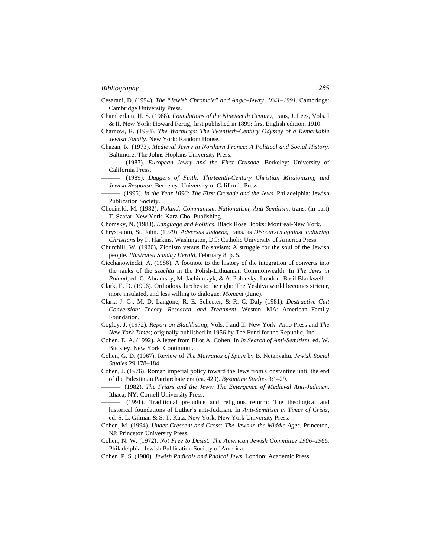- Cesarani, D. (1994). *The "Jewish Chronicle" and Anglo-Jewry, 1841–1991.* Cambridge: Cambridge University Press.
- Chamberlain, H. S. (1968). *Foundations of the Nineteenth Century,* trans, J. Lees, Vols. I & II. New York: Howard Fertig, first published in 1899; first English edition, 1910.
- Charnow, R. (1993). *The Warburgs: The Twentieth-Century Odyssey of a Remarkable Jewish Family.* New York: Random House.
- Chazan, R. (1973). *Medieval Jewry in Northern France: A Political and Social History.* Baltimore: The Johns Hopkins University Press.
- ———. (1987). *European Jewry and the First Crusade*. Berkeley: University of California Press.
- ———. (1989). *Daggers of Faith: Thirteenth-Century Christian Missionizing and Jewish Response.* Berkeley: University of California Press.
- ———. (1996). *In the Year 1096: The First Crusade and the Jews.* Philadelphia: Jewish Publication Society.
- Checinski, M. (1982). *Poland: Communism, Nationalism, Anti-Semitism*, trans. (in part) T. Szafar. New York. Karz-Chol Publishing.
- Chomsky, N. (1988). *Language and Politics*. Black Rose Books: Montreal-New York.
- Chrysostom, St. John. (1979). *Adversus Judaeos*, trans. as *Discourses against Judaizing Christians* by P. Harkins. Washington, DC: Catholic University of America Press.
- Churchill, W. (1920), Zionism versus Bolshvism: A struggle for the soul of the Jewish people. *Illustrated Sunday Herald*, February 8, p. 5.
- Ciechanowiecki, A. (1986). A footnote to the history of the integration of converts into the ranks of the *szachta* in the Polish-Lithuanian Commonwealth. In *The Jews in Poland*, ed. C. Abramsky, M. Jachimczyk, & A. Polonsky. London: Basil Blackwell.
- Clark, E. D. (1996). Orthodoxy lurches to the right: The Yeshiva world becomes stricter, more insulated, and less willing to dialogue*. Moment* (June).
- Clark, J. G., M. D. Langone, R. E. Schecter, & R. C. Daly (1981). *Destructive Cult Conversion: Theory, Research, and Treatment*. Weston, MA: American Family Foundation.
- Cogley, J. (1972). *Report on Blacklisting*, Vols. I and II. New York: Arno Press and *The New York Times*; originally published in 1956 by The Fund for the Republic, Inc.
- Cohen, E. A. (1992). A letter from Eliot A. Cohen. In *In Search of Anti-Semitism*, ed. W. Buckley. New York: Continuum.
- Cohen, G. D. (1967). Review of *The Marranos of Spain* by B. Netanyahu. *Jewish Social Studies* 29:178–184.
- Cohen, J. (1976). Roman imperial policy toward the Jews from Constantine until the end of the Palestinian Patriarchate era (ca. 429). *Byzantine Studie*s 3:1–29.
- ———. (1982). *The Friars and the Jews: The Emergence of Medieval Anti-Judaism*. Ithaca, NY: Cornell University Press.
- -. (1991). Traditional prejudice and religious reform: The theological and historical foundations of Luther's anti-Judaism. In *Anti-Semitism in Times of Crisis*, ed. S. L. Gilman & S. T. Katz. New York: New York University Press.
- Cohen, M. (1994). *Under Crescent and Cross: The Jews in the Middle Ages.* Princeton, NJ: Princeton University Press.
- Cohen, N. W. (1972). *Not Free to Desist: The American Jewish Committee 1906–1966.* Philadelphia: Jewish Publication Society of America.
- Cohen, P. S. (1980). *Jewish Radicals and Radical Jews.* London: Academic Press.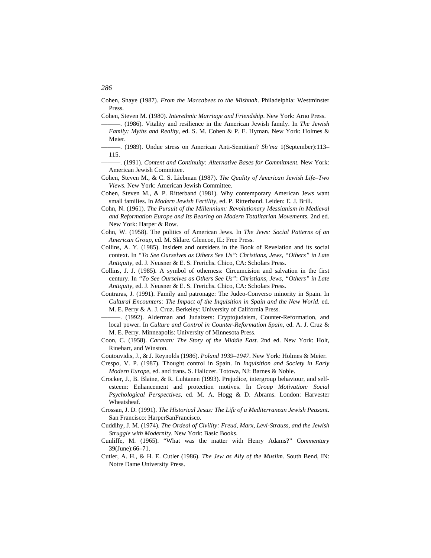Cohen, Shaye (1987). *From the Maccabees to the Mishnah*. Philadelphia: Westminster Press.

Cohen, Steven M. (1980). *Interethnic Marriage and Friendship*. New York: Arno Press.

- ———. (1986). Vitality and resilience in the American Jewish family. In *The Jewish Family: Myths and Reality*, ed. S. M. Cohen & P. E. Hyman*.* New York: Holmes & Meier.
- ———. (1989). Undue stress on American Anti-Semitism? *Sh'ma* 1(September):113– 115.
- ———. (1991). *Content and Continuity: Alternative Bases for Commitment.* New York: American Jewish Committee.
- Cohen, Steven M., & C. S. Liebman (1987). *The Quality of American Jewish Life–Two Views*. New York: American Jewish Committee.
- Cohen, Steven M., & P. Ritterband (1981). Why contemporary American Jews want small families. In *Modern Jewish Fertility*, ed. P. Ritterband. Leiden: E. J. Brill.
- Cohn, N. (1961). *The Pursuit of the Millennium: Revolutionary Messianism in Medieval and Reformation Europe and Its Bearing on Modern Totalitarian Movements*. 2nd ed. New York: Harper & Row.
- Cohn, W. (1958). The politics of American Jews. In *The Jews: Social Patterns of an American Group*, ed. M. Sklare*.* Glencoe, IL: Free Press.
- Collins, A. Y. (1985). Insiders and outsiders in the Book of Revelation and its social context. In *"To See Ourselves as Others See Us"*: *Christians, Jews, "Others" in Late Antiquity*, ed. J. Neusner & E. S. Frerichs. Chico, CA: Scholars Press.
- Collins, J. J. (1985). A symbol of otherness: Circumcision and salvation in the first century. In *"To See Ourselves as Others See Us"*: *Christians, Jews, "Others" in Late Antiquity*, ed. J. Neusner & E. S. Frerichs. Chico, CA: Scholars Press.
- Contraras, J. (1991). Family and patronage: The Judeo-Converso minority in Spain. In *Cultural Encounters: The Impact of the Inquisition in Spain and the New World*. ed. M. E. Perry & A. J. Cruz. Berkeley: University of California Press.
- ———. (1992). Alderman and Judaizers: Cryptojudaism, Counter-Reformation, and local power. In *Culture and Control in Counter-Reformation Spain*, ed. A. J. Cruz & M. E. Perry*.* Minneapolis: University of Minnesota Press.
- Coon, C. (1958). *Caravan: The Story of the Middle East*. 2nd ed. New York: Holt, Rinehart, and Winston.
- Coutouvidis, J., & J. Reynolds (1986). *Poland 1939–1947*. New York: Holmes & Meier.
- Crespo, V. P. (1987). Thought control in Spain. In *Inquisition and Society in Early Modern Europe*, ed. and trans. S. Haliczer. Totowa, NJ: Barnes & Noble.
- Crocker, J., B. Blaine, & R. Luhtanen (1993). Prejudice, intergroup behaviour, and selfesteem: Enhancement and protection motives. In *Group Motivation: Social Psychological Perspectives*, ed. M. A. Hogg & D. Abrams. London: Harvester Wheatsheaf.
- Crossan, J. D. (1991). *The Historical Jesus: The Life of a Mediterranean Jewish Peasant*. San Francisco: HarperSanFrancisco.
- Cuddihy, J. M. (1974). *The Ordeal of Civility: Freud, Marx, Levi-Strauss, and the Jewish Struggle with Modernity*. New York: Basic Books.
- Cunliffe, M. (1965). "What was the matter with Henry Adams?" *Commentary* 39(June):66–71.
- Cutler, A. H., & H. E. Cutler (1986). *The Jew as Ally of the Muslim.* South Bend, IN: Notre Dame University Press.

#### *286 Bibliography*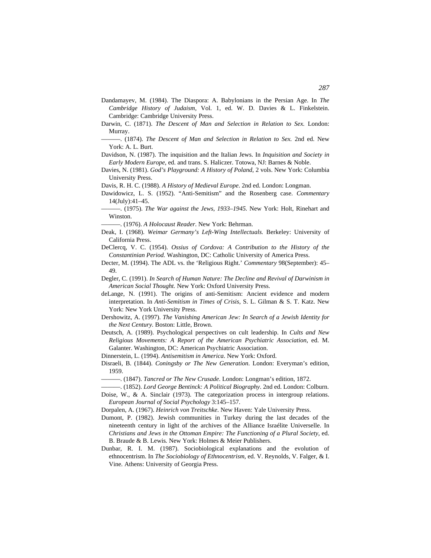- Dandamayev, M. (1984). The Diaspora: A. Babylonians in the Persian Age. In *The Cambridge History of Judaism*, Vol. 1, ed. W. D. Davies & L. Finkelstein. Cambridge: Cambridge University Press.
- Darwin, C. (1871). *The Descent of Man and Selection in Relation to Sex.* London: Murray.
- ———. (1874). *The Descent of Man and Selection in Relation to Sex.* 2nd ed. New York: A. L. Burt.
- Davidson, N. (1987). The inquisition and the Italian Jews. In *Inquisition and Society in Early Modern Europe*, ed. and trans. S. Haliczer. Totowa, NJ: Barnes & Noble.
- Davies, N. (1981). *God's Playground: A History of Poland*, 2 vols. New York: Columbia University Press.
- Davis, R. H. C. (1988). *A History of Medieval Europe*. 2nd ed. London: Longman.
- Dawidowicz, L. S. (1952). "Anti-Semitism" and the Rosenberg case. *Commentary*  14(July):41–45.
- ———. (1975). *The War against the Jews, 1933–1945.* New York: Holt, Rinehart and Winston.
- ———. (1976). *A Holocaust Reader*. New York: Behrman.
- Deak, I. (1968). *Weimar Germany's Left-Wing Intellectuals.* Berkeley: University of California Press.
- DeClercq, V. C. (1954). *Ossius of Cordova: A Contribution to the History of the Constantinian Period.* Washington, DC: Catholic University of America Press.
- Decter, M. (1994). The ADL vs. the 'Religious Right.' *Commentary* 98(September): 45– 49.
- Degler, C. (1991). *In Search of Human Nature: The Decline and Revival of Darwinism in American Social Thought.* New York: Oxford University Press.
- deLange, N. (1991). The origins of anti-Semitism: Ancient evidence and modern interpretation. In *Anti-Semitism in Times of Crisis*, S. L. Gilman & S. T. Katz. New York: New York University Press.
- Dershowitz, A. (1997). *The Vanishing American Jew: In Search of a Jewish Identity for the Next Century.* Boston: Little, Brown.
- Deutsch, A. (1989). Psychological perspectives on cult leadership. In *Cults and New Religious Movements: A Report of the American Psychiatric Association*, ed. M. Galanter. Washington, DC: American Psychiatric Association.
- Dinnerstein, L. (1994). *Antisemitism in America*. New York: Oxford.
- Disraeli, B. (1844). *Coningsby or The New Generation*. London: Everyman's edition, 1959.
- ———. (1847). *Tancred or The New Crusade*. London: Longman's edition, 1872.
- ———. (1852). *Lord George Bentinck: A Political Biography*. 2nd ed. London: Colburn.
- Doise, W., & A. Sinclair (1973). The categorization process in intergroup relations. *European Journal of Social Psychology* 3:145–157.
- Dorpalen, A. (1967). *Heinrich von Treitschke*. New Haven: Yale University Press.
- Dumont, P. (1982). Jewish communities in Turkey during the last decades of the nineteenth century in light of the archives of the Alliance Israélite Universelle. In *Christians and Jews in the Ottoman Empire: The Functioning of a Plural Society*, ed. B. Braude & B. Lewis*.* New York: Holmes & Meier Publishers.
- Dunbar, R. I. M. (1987). Sociobiological explanations and the evolution of ethnocentrism. In *The Sociobiology of Ethnocentrism*, ed. V. Reynolds, V. Falger, & I. Vine*.* Athens: University of Georgia Press.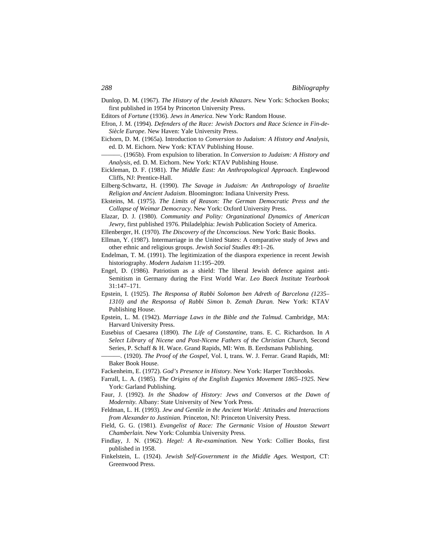Dunlop, D. M. (1967). *The History of the Jewish Khazars*. New York: Schocken Books; first published in 1954 by Princeton University Press.

Editors of *Fortune* (1936). *Jews in America*. New York: Random House.

- Efron, J. M. (1994). *Defenders of the Race: Jewish Doctors and Race Science in Fin-de-Siècle Europe*. New Haven: Yale University Press.
- Eichorn, D. M. (1965a). Introduction to *Conversion to Judaism: A History and Analysis*, ed. D. M. Eichorn. New York: KTAV Publishing House.

———. (1965b). From expulsion to liberation. In *Conversion to Judaism: A History and Analysis*, ed. D. M. Eichorn. New York: KTAV Publishing House.

- Eickleman, D. F. (1981). *The Middle East: An Anthropological Approach*. Englewood Cliffs, NJ: Prentice-Hall.
- Eilberg-Schwartz, H. (1990). *The Savage in Judaism: An Anthropology of Israelite Religion and Ancient Judaism*. Bloomington: Indiana University Press.
- Eksteins, M. (1975). *The Limits of Reason: The German Democratic Press and the Collapse of Weimar Democracy*. New York: Oxford University Press.
- Elazar, D. J. (1980). *Community and Polity: Organizational Dynamics of American Jewry*, first published 1976. Philadelphia: Jewish Publication Society of America.
- Ellenberger, H. (1970). *The Discovery of the Unconscious*. New York: Basic Books.
- Ellman, Y. (1987). Intermarriage in the United States: A comparative study of Jews and other ethnic and religious groups. *Jewish Social Studies* 49:1–26.
- Endelman, T. M. (1991). The legitimization of the diaspora experience in recent Jewish historiography. *Modern Judaism* 11:195–209.
- Engel, D. (1986). Patriotism as a shield: The liberal Jewish defence against anti-Semitism in Germany during the First World War. *Leo Baeck Institute Yearbook*  31:147–171.
- Epstein, I. (1925). *The Responsa of Rabbi Solomon ben Adreth of Barcelona (1235– 1310) and the Responsa of Rabbi Simon b*. *Zemah Duran.* New York: KTAV Publishing House.
- Epstein, L. M. (1942). *Marriage Laws in the Bible and the Talmud*. Cambridge, MA: Harvard University Press.
- Eusebius of Caesarea (1890). *The Life of Constantine*, trans. E. C. Richardson. In *A Select Library of Nicene and Post-Nicene Fathers of the Christian Church*, Second Series, P. Schaff & H. Wace. Grand Rapids, MI: Wm. B. Eerdsmans Publishing.
- ———. (1920). *The Proof of the Gospel*, Vol. I, trans. W. J. Ferrar. Grand Rapids, MI: Baker Book House.
- Fackenheim, E. (1972). *God's Presence in History*. New York: Harper Torchbooks.
- Farrall, L. A. (1985). *The Origins of the English Eugenics Movement 1865–1925*. New York: Garland Publishing.
- Faur, J. (1992). *In the Shadow of History: Jews and* Conversos *at the Dawn of Modernity.* Albany: State University of New York Press.
- Feldman, L. H. (1993). *Jew and Gentile in the Ancient World: Attitudes and Interactions from Alexander to Justinian.* Princeton, NJ: Princeton University Press.
- Field, G. G. (1981). *Evangelist of Race: The Germanic Vision of Houston Stewart Chamberlain.* New York: Columbia University Press.
- Findlay, J. N. (1962). *Hegel: A Re-examination.* New York: Collier Books, first published in 1958.
- Finkelstein, L. (1924). *Jewish Self-Government in the Middle Ages.* Westport, CT: Greenwood Press.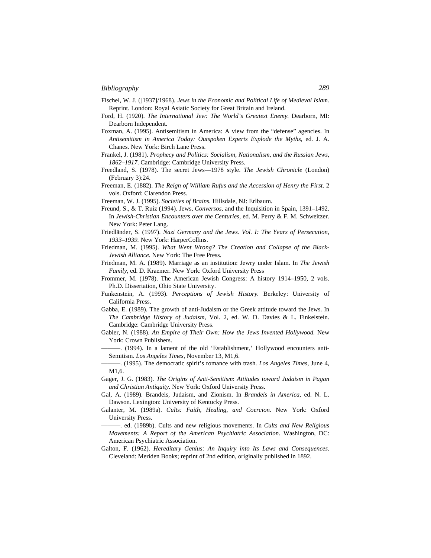- Fischel, W. J. ([1937]/1968). *Jews in the Economic and Political Life of Medieval Islam*. Reprint. London: Royal Asiatic Society for Great Britain and Ireland.
- Ford, H. (1920). *The International Jew: The World's Greatest Enemy.* Dearborn, MI: Dearborn Independent.
- Foxman, A. (1995). Antisemitism in America: A view from the "defense" agencies. In *Antisemitism in America Today: Outspoken Experts Explode the Myths*, ed. J. A. Chanes. New York: Birch Lane Press.
- Frankel, J. (1981). *Prophecy and Politics: Socialism, Nationalism, and the Russian Jews, 1862–1917*. Cambridge: Cambridge University Press.
- Freedland, S. (1978). The secret Jews—1978 style. *The Jewish Chronicle* (London) (February 3):24.
- Freeman, E. (1882). *The Reign of William Rufus and the Accession of Henry the First*. 2 vols. Oxford: Clarendon Press.
- Freeman, W. J. (1995). *Societies of Brains.* Hillsdale, NJ: Erlbaum.
- Freund, S., & T. Ruiz (1994). Jews, *Conversos*, and the Inquisition in Spain, 1391–1492. In *Jewish-Christian Encounters over the Centuries*, ed. M. Perry & F. M. Schweitzer. New York: Peter Lang.
- Friedländer, S. (1997). *Nazi Germany and the Jews. Vol. I: The Years of Persecution, 1933–1939.* New York: HarperCollins.
- Friedman, M. (1995). *What Went Wrong? The Creation and Collapse of the Black-Jewish Alliance.* New York: The Free Press.
- Friedman, M. A. (1989). Marriage as an institution: Jewry under Islam. In *The Jewish Family*, ed. D. Kraemer. New York: Oxford University Press
- Frommer, M. (1978). The American Jewish Congress: A history 1914–1950, 2 vols. Ph.D. Dissertation, Ohio State University.
- Funkenstein, A. (1993). *Perceptions of Jewish History.* Berkeley: University of California Press.
- Gabba, E. (1989). The growth of anti-Judaism or the Greek attitude toward the Jews. In *The Cambridge History of Judaism*, Vol. 2, ed. W. D. Davies & L. Finkelstein. Cambridge: Cambridge University Press.
- Gabler, N. (1988). *An Empire of Their Own: How the Jews Invented Hollywood.* New York: Crown Publishers.
- ———. (1994). In a lament of the old 'Establishment,' Hollywood encounters anti-Semitism. *Los Angeles Times*, November 13, M1,6.
- ———. (1995). The democratic spirit's romance with trash. *Los Angeles Times*, June 4, M1,6.
- Gager, J. G. (1983). *The Origins of Anti-Semitism*: *Attitudes toward Judaism in Pagan and Christian Antiquity.* New York: Oxford University Press.
- Gal, A. (1989). Brandeis, Judaism, and Zionism. In *Brandeis in America*, ed. N. L. Dawson. Lexington: University of Kentucky Press.
- Galanter, M. (1989a). *Cults: Faith, Healing, and Coercion.* New York: Oxford University Press.
	- ———. ed. (1989b). Cults and new religious movements. In *Cults and New Religious Movements: A Report of the American Psychiatric Association*. Washington, DC: American Psychiatric Association.
- Galton, F. (1962). *Hereditary Genius: An Inquiry into Its Laws and Consequences*. Cleveland: Meriden Books; reprint of 2nd edition, originally published in 1892.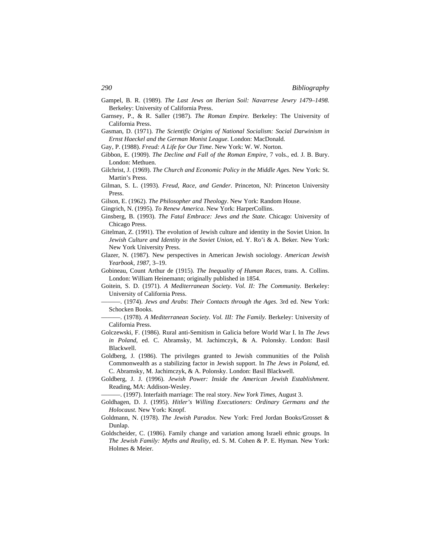- Gampel, B. R. (1989). *The Last Jews on Iberian Soil: Navarrese Jewry 1479–1498.*  Berkeley: University of California Press.
- Garnsey, P., & R. Saller (1987). *The Roman Empire.* Berkeley: The University of California Press.
- Gasman, D. (1971). *The Scientific Origins of National Socialism: Social Darwinism in Ernst Haeckel and the German Monist League.* London: MacDonald.
- Gay, P. (1988). *Freud: A Life for Our Time*. New York: W. W. Norton.
- Gibbon, E. (1909). *The Decline and Fall of the Roman Empire*, 7 vols., ed. J. B. Bury. London: Methuen.
- Gilchrist, J. (1969). *The Church and Economic Policy in the Middle Ages.* New York: St. Martin's Press.
- Gilman, S. L. (1993). *Freud, Race, and Gender*. Princeton, NJ: Princeton University Press.
- Gilson, E. (1962). *The Philosopher and Theology*. New York: Random House.
- Gingrich, N. (1995). *To Renew America*. New York: HarperCollins.
- Ginsberg, B. (1993). *The Fatal Embrace: Jews and the State*. Chicago: University of Chicago Press.
- Gitelman, Z. (1991). The evolution of Jewish culture and identity in the Soviet Union. In *Jewish Culture and Identity in the Soviet Union*, ed. Y. Ro'i & A. Beker*.* New York: New York University Press.
- Glazer, N. (1987). New perspectives in American Jewish sociology. *American Jewish Yearbook, 1987*, 3–19.
- Gobineau, Count Arthur de (1915). *The Inequality of Human Races*, trans. A. Collins. London: William Heinemann; originally published in 1854.
- Goitein, S. D. (1971). *A Mediterranean Society. Vol. II: The Community.* Berkeley: University of California Press.
- ———. (1974). *Jews and Arabs*: *Their Contacts through the Ages.* 3rd ed. New York: Schocken Books.
- ———. (1978). *A Mediterranean Society. Vol. III: The Family.* Berkeley: University of California Press.
- Golczewski, F. (1986). Rural anti-Semitism in Galicia before World War I. In *The Jews in Poland*, ed. C. Abramsky, M. Jachimczyk, & A. Polonsky. London: Basil Blackwell.
- Goldberg, J. (1986). The privileges granted to Jewish communities of the Polish Commonwealth as a stabilizing factor in Jewish support. In *The Jews in Poland*, ed. C. Abramsky, M. Jachimczyk, & A. Polonsky. London: Basil Blackwell.
- Goldberg, J. J. (1996). *Jewish Power: Inside the American Jewish Establishment*. Reading, MA: Addison-Wesley.
	- ———. (1997). Interfaith marriage: The real story. *New York Times*, August 3.
- Goldhagen, D. J. (1995). *Hitler's Willing Executioners: Ordinary Germans and the Holocaust.* New York: Knopf.
- Goldmann, N. (1978). *The Jewish Paradox.* New York: Fred Jordan Books/Grosset & Dunlap.
- Goldscheider, C. (1986). Family change and variation among Israeli ethnic groups. In *The Jewish Family: Myths and Reality*, ed. S. M. Cohen & P. E. Hyman*.* New York: Holmes & Meier.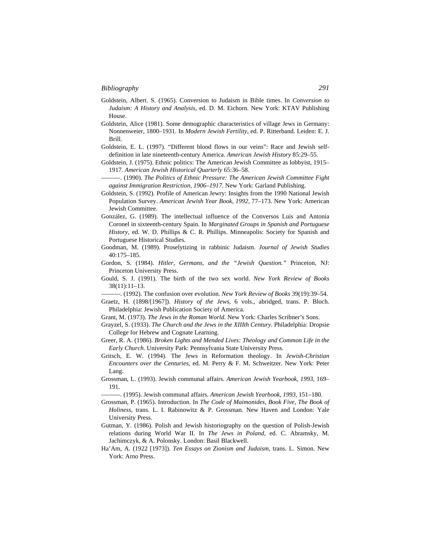- Goldstein, Albert. S. (1965). Conversion to Judaism in Bible times. In *Conversion to Judaism: A History and Analysis,* ed. D. M. Eichorn. New York: KTAV Publishing House.
- Goldstein, Alice (1981). Some demographic characteristics of village Jews in Germany: Nonnenweier, 1800–1931. In *Modern Jewish Fertility*, ed. P. Ritterband. Leiden: E. J. Brill.
- Goldstein, E. L. (1997). "Different blood flows in our veins": Race and Jewish selfdefinition in late nineteenth-century America. *American Jewish History* 85:29–55.
- Goldstein, J. (1975). Ethnic politics: The American Jewish Committee as lobbyist, 1915– 1917. *American Jewish Historical Quarterly* 65:36–58.
- ———. (1990). *The Politics of Ethnic Pressure: The American Jewish Committee Fight against Immigration Restriction, 1906–1917*. New York: Garland Publishing.
- Goldstein, S. (1992). Profile of American Jewry: Insights from the 1990 National Jewish Population Survey. *American Jewish Year Book, 1992*, 77–173. New York: American Jewish Committee.
- González, G. (1989). The intellectual influence of the Conversos Luis and Antonia Coronel in sixteenth-century Spain. In *Marginated Groups in Spanish and Portuguese History*, ed. W. D. Phillips & C. R. Phillips. Minneapolis: Society for Spanish and Portuguese Historical Studies.
- Goodman, M. (1989). Proselytizing in rabbinic Judaism. *Journal of Jewish Studies*  40:175–185.
- Gordon, S. (1984). *Hitler, Germans, and the "Jewish Question."* Princeton, NJ: Princeton University Press.
- Gould, S. J. (1991). The birth of the two sex world. *New York Review of Books*  38(11):11–13.

———. (1992). The confusion over evolution. *New York Review of Books* 39(19):39–54.

- Graetz, H. (1898/[1967]). *History of the Jews*, 6 vols., abridged, trans. P. Bloch. Philadelphia: Jewish Publication Society of America.
- Grant, M. (1973). *The Jews in the Roman World.* New York: Charles Scribner's Sons.
- Grayzel, S. (1933). *The Church and the Jews in the XIIIth Century.* Philadelphia: Dropsie College for Hebrew and Cognate Learning.
- Greer, R. A. (1986). *Broken Lights and Mended Lives: Theology and Common Life in the Early Church.* University Park: Pennsylvania State University Press.
- Gritsch, E. W. (1994). The Jews in Reformation theology. In *Jewish-Christian Encounters over the Centuries*, ed. M. Perry & F. M. Schweitzer. New York: Peter Lang.
- Grossman, L. (1993). Jewish communal affairs. *American Jewish Yearbook, 1993*, 169– 191*.*
- ———. (1995). Jewish communal affairs. *American Jewish Yearbook, 1993*, 151–180*.*
- Grossman, P. (1965). Introduction. In *The Code of Maimonides, Book Five, The Book of Holiness*, trans. L. I. Rabinowitz & P. Grossman*.* New Haven and London: Yale University Press.
- Gutman, Y. (1986). Polish and Jewish historiography on the question of Polish-Jewish relations during World War II. In *The Jews in Poland*, ed. C. Abramsky, M. Jachimczyk, & A. Polonsky. London: Basil Blackwell.
- Ha'Am, A. (1922 [1973]). *Ten Essays on Zionism and Judaism*, trans. L. Simon. New York: Arno Press.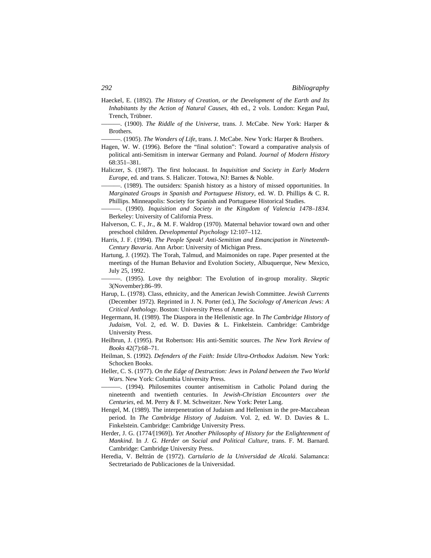- Haeckel, E. (1892). *The History of Creation, or the Development of the Earth and Its Inhabitants by the Action of Natural Causes*, 4th ed., 2 vols. London: Kegan Paul, Trench, Trübner.
	- ———. (1900). *The Riddle of the Universe*, trans. J. McCabe. New York: Harper & Brothers.

———. (1905). *The Wonders of Life*, trans. J. McCabe. New York: Harper & Brothers.

- Hagen, W. W. (1996). Before the "final solution": Toward a comparative analysis of political anti-Semitism in interwar Germany and Poland. *Journal of Modern History*  68:351–381.
- Haliczer, S. (1987). The first holocaust. In *Inquisition and Society in Early Modern Europe*, ed. and trans. S. Haliczer. Totowa, NJ: Barnes & Noble.
	- ———. (1989). The outsiders: Spanish history as a history of missed opportunities. In *Marginated Groups in Spanish and Portuguese History*, ed. W. D. Phillips & C. R. Phillips. Minneapolis: Society for Spanish and Portuguese Historical Studies.
	- ———. (1990). *Inquisition and Society in the Kingdom of Valencia 1478–1834*. Berkeley: University of California Press.
- Halverson, C. F., Jr., & M. F. Waldrop (1970). Maternal behavior toward own and other preschool children. *Developmental Psychology* 12:107–112.
- Harris, J. F. (1994). *The People Speak! Anti-Semitism and Emancipation in Nineteenth-Century Bavaria*. Ann Arbor: University of Michigan Press.
- Hartung, J. (1992). The Torah, Talmud, and Maimonides on rape. Paper presented at the meetings of the Human Behavior and Evolution Society, Albuquerque, New Mexico, July 25, 1992.
- ———. (1995). Love thy neighbor: The Evolution of in-group morality. *Skeptic* 3(November):86–99.
- Harup, L. (1978). Class, ethnicity, and the American Jewish Committee. *Jewish Currents* (December 1972). Reprinted in J. N. Porter (ed.), *The Sociology of American Jews: A Critical Anthology*. Boston: University Press of America.
- Hegermann, H. (1989). The Diaspora in the Hellenistic age. In *The Cambridge History of Judaism*, Vol. 2, ed. W. D. Davies & L. Finkelstein. Cambridge: Cambridge University Press.
- Heilbrun, J. (1995). Pat Robertson: His anti-Semitic sources. *The New York Review of Books* 42(7):68–71.
- Heilman, S. (1992). *Defenders of the Faith: Inside Ultra-Orthodox Judaism.* New York: Schocken Books.
- Heller, C. S. (1977). *On the Edge of Destruction: Jews in Poland between the Two World Wars.* New York: Columbia University Press.
- ———. (1994). Philosemites counter antisemitism in Catholic Poland during the nineteenth and twentieth centuries. In *Jewish-Christian Encounters over the Centuries*, ed. M. Perry & F. M. Schweitzer. New York: Peter Lang.
- Hengel, M. (1989). The interpenetration of Judaism and Hellenism in the pre-Maccabean period. In *The Cambridge History of Judaism*. Vol. 2, ed. W. D. Davies & L. Finkelstein. Cambridge: Cambridge University Press.
- Herder, J. G. (1774/[1969]). *Yet Another Philosophy of History for the Enlightenment of Mankind*. In *J. G. Herder on Social and Political Culture*, trans. F. M. Barnard*.* Cambridge: Cambridge University Press.
- Heredia, V. Beltrán de (1972). *Cartulario de la Universidad de Alcalá*. Salamanca: Sectretariado de Publicaciones de la Universidad.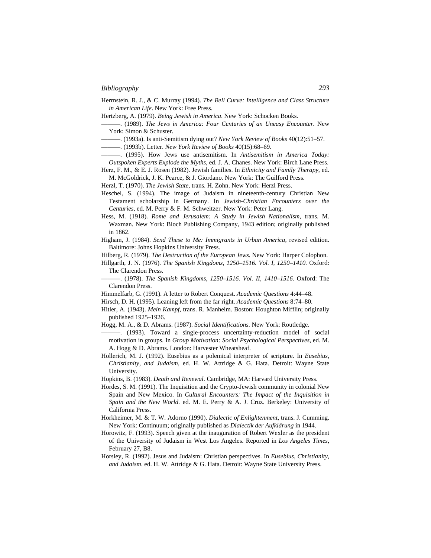- Herrnstein, R. J., & C. Murray (1994). *The Bell Curve: Intelligence and Class Structure in American Life*. New York: Free Press.
- Hertzberg, A. (1979). *Being Jewish in America*. New York: Schocken Books.
- ———. (1989). *The Jews in America: Four Centuries of an Uneasy Encounter.* New York: Simon & Schuster.
- ———. (1993a). Is anti-Semitism dying out? *New York Review of Books* 40(12):51–57.
- ———. (1993b). Letter. *New York Review of Books* 40(15):68–69.
- ———. (1995). How Jews use antisemitism. In *Antisemitism in America Today: Outspoken Experts Explode the Myths*, ed. J. A. Chanes. New York: Birch Lane Press.
- Herz, F. M., & E. J. Rosen (1982). Jewish families. In *Ethnicity and Family Therapy*, ed. M. McGoldrick, J. K. Pearce, & J. Giordano*.* New York: The Guilford Press.
- Herzl, T. (1970). *The Jewish State*, trans. H. Zohn. New York: Herzl Press.
- Heschel, S. (1994). The image of Judaism in nineteenth-century Christian New Testament scholarship in Germany. In *Jewish-Christian Encounters over the Centuries*, ed. M. Perry & F. M. Schweitzer. New York: Peter Lang.
- Hess, M. (1918). *Rome and Jerusalem: A Study in Jewish Nationalism*, trans. M. Waxman. New York: Bloch Publishing Company, 1943 edition; originally published in 1862.
- Higham, J. (1984). *Send These to Me: Immigrants in Urban America*, revised edition. Baltimore: Johns Hopkins University Press.
- Hilberg, R. (1979). *The Destruction of the European Jews.* New York: Harper Colophon.
- Hillgarth, J. N. (1976). *The Spanish Kingdoms, 1250–1516. Vol. I, 1250–1410.* Oxford: The Clarendon Press.
- ———. (1978). *The Spanish Kingdoms, 1250–1516. Vol. II, 1410–1516.* Oxford: The Clarendon Press.
- Himmelfarb, G. (1991). A letter to Robert Conquest. *Academic Questions* 4:44–48.
- Hirsch, D. H. (1995). Leaning left from the far right. *Academic Questions* 8:74–80.
- Hitler, A. (1943). *Mein Kampf*, trans. R. Manheim. Boston: Houghton Mifflin; originally published 1925–1926.
- Hogg, M. A., & D. Abrams. (1987). *Social Identifications.* New York: Routledge.
- ———. (1993). Toward a single-process uncertainty-reduction model of social motivation in groups. In *Group Motivation: Social Psychological Perspectives*, ed. M. A. Hogg & D. Abrams. London: Harvester Wheatsheaf.
- Hollerich, M. J. (1992). Eusebius as a polemical interpreter of scripture. In *Eusebius, Christianity, and Judaism*, ed. H. W. Attridge & G. Hata. Detroit: Wayne State University.
- Hopkins, B. (1983). *Death and Renewal*. Cambridge, MA: Harvard University Press.
- Hordes, S. M. (1991). The Inquisition and the Crypto-Jewish community in colonial New Spain and New Mexico. In *Cultural Encounters: The Impact of the Inquisition in Spain and the New World*. ed. M. E. Perry & A. J. Cruz. Berkeley: University of California Press.
- Horkheimer, M. & T. W. Adorno (1990). *Dialectic of Enlightenment*, trans. J. Cumming. New York: Continuum; originally published as *Dialectik der Aufklärung* in 1944.
- Horowitz, F. (1993). Speech given at the inauguration of Robert Wexler as the president of the University of Judaism in West Los Angeles. Reported in *Los Angeles Times*, February 27, B8.
- Horsley, R. (1992). Jesus and Judaism: Christian perspectives. In *Eusebius, Christianity, and Judaism*. ed. H. W. Attridge & G. Hata. Detroit: Wayne State University Press.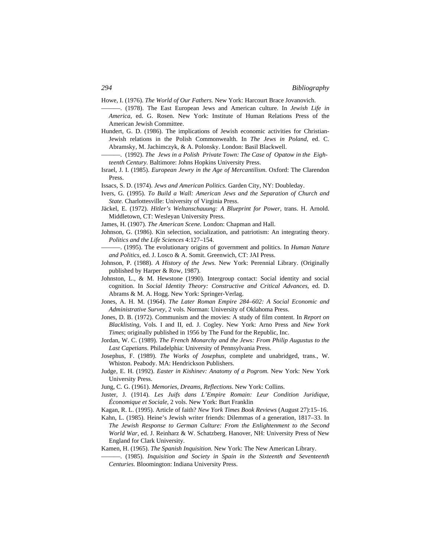- Howe, I. (1976). *The World of Our Fathers.* New York: Harcourt Brace Jovanovich.
- ———. (1978). The East European Jews and American culture. In *Jewish Life in America*, ed. G. Rosen. New York: Institute of Human Relations Press of the American Jewish Committee.
- Hundert, G. D. (1986). The implications of Jewish economic activities for Christian-Jewish relations in the Polish Commonwealth. In *The Jews in Poland*, ed. C. Abramsky, M. Jachimczyk, & A. Polonsky. London: Basil Blackwell.
- . (1992). The Jews in a Polish Private Town: The Case of Opatow in the Eigh*teenth Century.* Baltimore: Johns Hopkins University Press.
- Israel, J. I. (1985). *European Jewry in the Age of Mercantilism*. Oxford: The Clarendon Press.
- Issacs, S. D. (1974). *Jews and American Politics*. Garden City, NY: Doubleday.
- Ivers, G. (1995). *To Build a Wall: American Jews and the Separation of Church and State.* Charlottesville: University of Virginia Press.
- Jäckel, E. (1972). *Hitler's Weltanschauung: A Blueprint for Power*, trans. H. Arnold. Middletown, CT: Wesleyan University Press.
- James, H. (1907). *The American Scene.* London: Chapman and Hall.
- Johnson, G. (1986). Kin selection, socialization, and patriotism: An integrating theory. *Politics and the Life Sciences* 4:127–154.
- ———. (1995). The evolutionary origins of government and politics. In *Human Nature and Politics*, ed. J. Losco & A. Somit. Greenwich, CT: JAI Press.
- Johnson, P. (1988). *A History of the Jews.* New York: Perennial Library. (Originally published by Harper & Row, 1987).
- Johnston, L., & M. Hewstone (1990). Intergroup contact: Social identity and social cognition. In *Social Identity Theory: Constructive and Critical Advances*, ed. D. Abrams & M. A. Hogg. New York: Springer-Verlag.
- Jones, A. H. M. (1964). *The Later Roman Empire 284–602: A Social Economic and Administrative Survey*, 2 vols. Norman: University of Oklahoma Press.
- Jones, D. B. (1972). Communism and the movies: A study of film content. In *Report on Blacklisting*, Vols. I and II, ed. J. Cogley. New York: Arno Press and *New York Times*; originally published in 1956 by The Fund for the Republic, Inc.
- Jordan, W. C. (1989). *The French Monarchy and the Jews: From Philip Augustus to the Last Capetians*. Philadelphia: University of Pennsylvania Press.
- Josephus, F. (1989). *The Works of Josephus*, complete and unabridged, trans., W. Whiston. Peabody. MA: Hendrickson Publishers.
- Judge, E. H. (1992). *Easter in Kishinev: Anatomy of a Pogrom.* New York: New York University Press.
- Jung, C. G. (1961). *Memories, Dreams, Reflections*. New York: Collins.
- Juster, J. (1914). *Les Juifs dans L'Empire Romain: Leur Condition Juridique, Économique et Sociale*, 2 vols. New York: Burt Franklin
- Kagan, R. L. (1995). Article of faith? *New York Times Book Reviews* (August 27):15–16.
- Kahn, L. (1985). Heine's Jewish writer friends: Dilemmas of a generation, 1817–33. In *The Jewish Response to German Culture: From the Enlightenment to the Second World War*, ed. J. Reinharz & W. Schatzberg. Hanover, NH: University Press of New England for Clark University.
- Kamen, H. (1965). *The Spanish Inquisition.* New York: The New American Library.

<sup>———. (1985).</sup> *Inquisition and Society in Spain in the Sixteenth and Seventeenth Centuries.* Bloomington: Indiana University Press.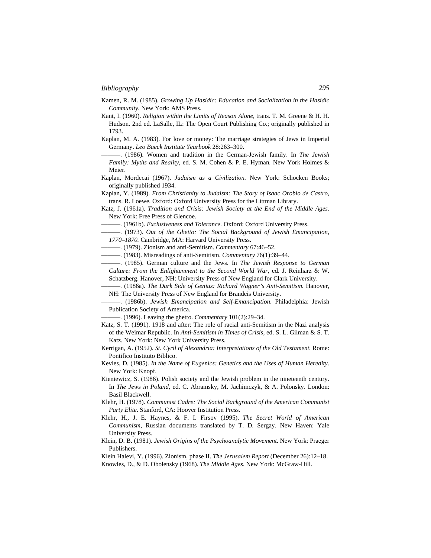- Kamen, R. M. (1985). *Growing Up Hasidic: Education and Socialization in the Hasidic Community.* New York: AMS Press.
- Kant, I. (1960). *Religion within the Limits of Reason Alone*, trans. T. M. Greene & H. H. Hudson. 2nd ed. LaSalle, IL: The Open Court Publishing Co.; originally published in 1793.
- Kaplan, M. A. (1983). For love or money: The marriage strategies of Jews in Imperial Germany. *Leo Baeck Institute Yearbook* 28:263–300.
- ———. (1986). Women and tradition in the German-Jewish family. In *The Jewish Family: Myths and Reality*, ed. S. M. Cohen & P. E. Hyman*.* New York Holmes & Meier.
- Kaplan, Mordecai (1967). *Judaism as a Civilization.* New York: Schocken Books; originally published 1934.
- Kaplan, Y. (1989). *From Christianity to Judaism: The Story of Isaac Orobio de Castro*, trans. R. Loewe. Oxford: Oxford University Press for the Littman Library.
- Katz, J. (1961a). *Tradition and Crisis: Jewish Society at the End of the Middle Ages.* New York: Free Press of Glencoe.
- ———. (1961b). *Exclusiveness and Tolerance.* Oxford: Oxford University Press.
- ———. (1973). *Out of the Ghetto: The Social Background of Jewish Emancipation, 1770–1870.* Cambridge, MA: Harvard University Press.
- ———. (1979). Zionism and anti-Semitism. *Commentary* 67:46–52.
- ———. (1983). Misreadings of anti-Semitism. *Commentary* 76(1):39–44.
- ———. (1985). German culture and the Jews. In *The Jewish Response to German Culture: From the Enlightenment to the Second World War*, ed. J. Reinharz & W. Schatzberg. Hanover, NH: University Press of New England for Clark University.
- ———. (1986a). *The Dark Side of Genius: Richard Wagner's Anti-Semitism.* Hanover, NH: The University Press of New England for Brandeis University.
- ———. (1986b). *Jewish Emancipation and Self-Emancipation.* Philadelphia: Jewish Publication Society of America.
- ———. (1996). Leaving the ghetto. *Commentary* 101(2):29–34.
- Katz, S. T. (1991). 1918 and after: The role of racial anti-Semitism in the Nazi analysis of the Weimar Republic. In *Anti-Semitism in Times of Crisis*, ed. S. L. Gilman & S. T. Katz. New York: New York University Press.
- Kerrigan, A. (1952). *St. Cyril of Alexandria: Interpretations of the Old Testament.* Rome: Pontifico Instituto Biblico.
- Kevles, D. (1985). *In the Name of Eugenics: Genetics and the Uses of Human Heredity*. New York: Knopf.
- Kieniewicz, S. (1986). Polish society and the Jewish problem in the nineteenth century. In *The Jews in Poland*, ed. C. Abramsky, M. Jachimczyk, & A. Polonsky. London: Basil Blackwell.
- Klehr, H. (1978). *Communist Cadre: The Social Background of the American Communist Party Elite*. Stanford, CA: Hoover Institution Press.
- Klehr, H., J. E. Haynes, & F. I. Firsov (1995). *The Secret World of American Communism*, Russian documents translated by T. D. Sergay. New Haven: Yale University Press.
- Klein, D. B. (1981). *Jewish Origins of the Psychoanalytic Movement*. New York: Praeger Publishers.

Klein Halevi, Y. (1996). Zionism, phase II. *The Jerusalem Report* (December 26):12–18. Knowles, D., & D. Obolensky (1968). *The Middle Ages*. New York: McGraw-Hill.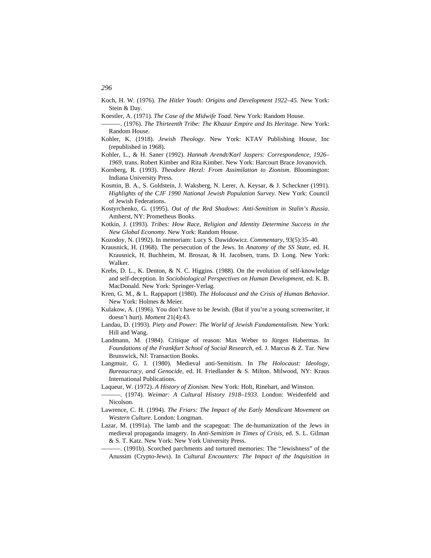- Koch, H. W. (1976). *The Hitler Youth: Origins and Development 1922–45.* New York: Stein & Day.
- Koestler, A. (1971). *The Case of the Midwife Toad*. New York: Random House.
- ———. (1976). *The Thirteenth Tribe: The Khazar Empire and Its Heritage*. New York: Random House.
- Kohler, K. (1918). *Jewish Theology*. New York: KTAV Publishing House, Inc (republished in 1968).
- Kohler, L., & H. Saner (1992). *Hannah Arendt/Karl Jaspers: Correspondence, 1926– 1969*, trans. Robert Kimber and Rita Kimber. New York: Harcourt Brace Jovanovich.
- Kornberg, R. (1993). *Theodore Herzl: From Assimilation to Zionism*. Bloomington: Indiana University Press.
- Kosmin, B. A., S. Goldstein, J. Waksberg, N. Lerer, A. Keysar, & J. Scheckner (1991). *Highlights of the CJF 1990 National Jewish Population Survey.* New York: Council of Jewish Federations.
- Kostyrchenko, G. (1995). *Out of the Red Shadows: Anti-Semitism in Stalin's Russia*. Amherst, NY: Prometheus Books.
- Kotkin, J. (1993). *Tribes: How Race, Religion and Identity Determine Success in the New Global Economy*. New York: Random House.
- Kozodoy, N. (1992). In memoriam: Lucy S. Dawidowicz. *Commentary,* 93(5):35–40.
- Krausnick, H. (1968). The persecution of the Jews. In *Anatomy of the SS State*, ed. H. Krausnick, H. Buchheim, M. Broszat, & H. Jacobsen, trans. D. Long. New York: Walker.
- Krebs, D. L., K. Denton, & N. C. Higgins. (1988). On the evolution of self-knowledge and self-deception. In *Sociobiological Perspectives on Human Development*, ed. K. B. MacDonald. New York: Springer-Verlag.
- Kren, G. M., & L. Rappaport (1980). *The Holocaust and the Crisis of Human Behavior.*  New York: Holmes & Meier.
- Kulakow, A. (1996). You don't have to be Jewish. (But if you're a young screenwriter, it doesn't hurt). *Moment* 21(4):43.
- Landau, D. (1993). *Piety and Power: The World of Jewish Fundamentalism.* New York: Hill and Wang.
- Landmann, M. (1984). Critique of reason: Max Weber to Jürgen Habermas. In *Foundations of the Frankfurt School of Social Research*, ed. J. Marcus & Z. Tar. New Brunswick, NJ: Transaction Books.
- Langmuir, G. I. (1980). Medieval anti-Semitism. In *The Holocaust: Ideology, Bureaucracy, and Genocide*, ed. H. Friedlander & S. Milton. Milwood, NY: Kraus International Publications.
- Laqueur, W. (1972). *A History of Zionism*. New York: Holt, Rinehart, and Winston.
- ———. (1974). *Weimar: A Cultural History 1918–1933*. London: Weidenfeld and Nicolson.
- Lawrence, C. H. (1994). *The Friars: The Impact of the Early Mendicant Movement on Western Culture.* London: Longman.
- Lazar, M. (1991a). The lamb and the scapegoat: The de-humanization of the Jews in medieval propaganda imagery. In *Anti-Semitism in Times of Crisis*, ed. S. L. Gilman & S. T. Katz. New York: New York University Press.
	- -. (1991b). Scorched parchments and tortured memories: The "Jewishness" of the Anussim (Crypto-Jews). In *Cultural Encounters: The Impact of the Inquisition in*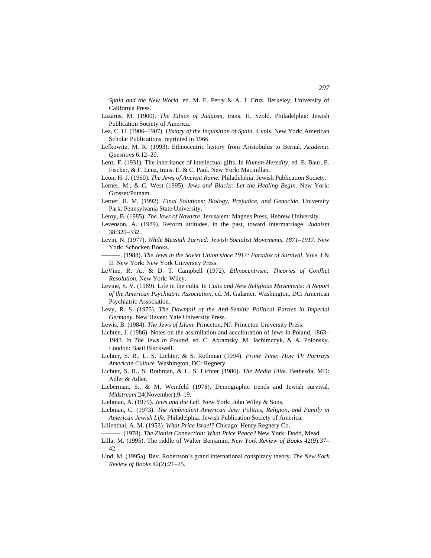*Spain and the New World*. ed. M. E. Perry & A. J. Cruz. Berkeley: University of California Press.

- Lazarus, M. (1900). *The Ethics of Judaism*, trans. H. Szold. Philadelphia: Jewish Publication Society of America.
- Lea, C. H. (1906–1907). *History of the Inquisition of Spain*. 4 vols. New York: American Scholar Publications, reprinted in 1966.
- Lefkowitz, M. R. (1993). Ethnocentric history from Aristobulus to Bernal. *Academic Questions* 6:12–20.
- Lenz, F. (1931). The inheritance of intellectual gifts. In *Human Heredity*, ed. E. Baur, E. Fischer, & F. Lenz, trans. E. & C. Paul. New York: Macmillan.
- Leon, H. J. (1960). *The Jews of Ancient Rome.* Philadelphia: Jewish Publication Society.
- Lerner, M., & C. West (1995). *Jews and Blacks: Let the Healing Begin.* New York: Grosset/Putnam.
- Lerner, R. M. (1992). *Final Solutions: Biology, Prejudice, and Genocide*. University Park: Pennsylvania State University.
- Leroy, B. (1985). *The Jews of Navarre*. Jerusalem: Magnes Press, Hebrew University.
- Levenson, A. (1989). Reform attitudes, in the past, toward intermarriage. *Judaism* 38:320–332.
- Levin, N. (1977). *While Messiah Tarried: Jewish Socialist Movements, 1871–1917*. New York: Schocken Books.
- ———. (1988). *The Jews in the Soviet Union since 1917: Paradox of Survival*, Vols. I & II. New York: New York University Press.
- LeVine, R. A., & D. T. Campbell (1972). *Ethnocentrism: Theories of Conflict Resolution.* New York: Wiley.
- Levine, S. V. (1989). Life in the cults. In *Cults and New Religious Movements: A Report of the American Psychiatric Association*, ed. M. Galanter. Washington, DC: American Psychiatric Association.
- Levy, R. S. (1975). *The Downfall of the Anti-Semitic Political Parties in Imperial Germany*. New Haven: Yale University Press.
- Lewis, B. (1984). *The Jews of Islam.* Princeton, NJ: Princeton University Press.
- Lichten, J. (1986). Notes on the assimilation and acculturation of Jews in Poland, 1863– 1943. In *The Jews in Poland*, ed. C. Abramsky, M. Jachimczyk, & A. Polonsky. London: Basil Blackwell.
- Lichter, S. R., L. S. Lichter, & S. Rothman (1994). *Prime Time: How TV Portrays American Culture.* Washington, DC: Regnery.
- Lichter, S. R., S. Rothman, & L. S. Lichter (1986). *The Media Elite.* Bethesda, MD: Adler & Adler.
- Lieberman, S., & M. Weinfeld (1978). Demographic trends and Jewish survival. *Midstream* 24(November):9–19.
- Liebman, A. (1979). *Jews and the Left.* New York: John Wiley & Sons.
- Liebman, C. (1973). *The Ambivalent American Jew: Politics, Religion, and Family in American Jewish Life.* Philadelphia: Jewish Publication Society of America.
- Lilienthal, A. M. (1953). *What Price Israel?* Chicago: Henry Regnery Co.
- ———. (1978). *The Zionist Connection: What Price Peace?* New York: Dodd, Mead.
- Lilla, M. (1995). The riddle of Walter Benjamin. *New York Review of Books* 42(9):37– 42.
- Lind, M. (1995a). Rev. Robertson's grand international conspiracy theory. *The New York Review of Books* 42(2):21–25.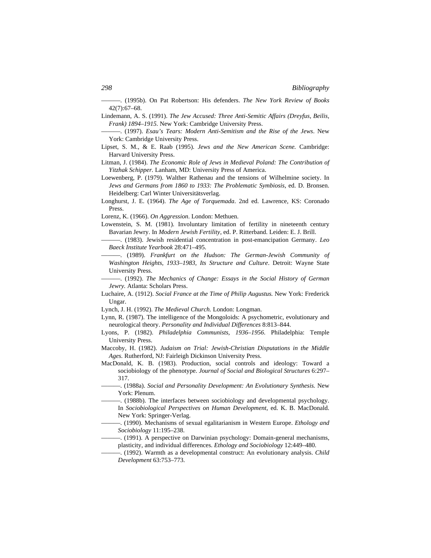- ———. (1995b). On Pat Robertson: His defenders. *The New York Review of Books*  42(7):67–68.
- Lindemann, A. S. (1991). *The Jew Accused: Three Anti-Semitic Affairs (Dreyfus, Beilis, Frank) 1894–1915.* New York: Cambridge University Press.
- ———. (1997). *Esau's Tears: Modern Anti-Semitism and the Rise of the Jews*. New York: Cambridge University Press.
- Lipset, S. M., & E. Raab (1995). *Jews and the New American Scene.* Cambridge: Harvard University Press.
- Litman, J. (1984). *The Economic Role of Jews in Medieval Poland: The Contribution of Yitzhak Schipper.* Lanham, MD: University Press of America.
- Loewenberg, P. (1979). Walther Rathenau and the tensions of Wilhelmine society. In *Jews and Germans from 1860 to 1933: The Problematic Symbiosis*, ed. D. Bronsen. Heidelberg: Carl Winter Universitätsverlag.
- Longhurst, J. E. (1964). *The Age of Torquemada*. 2nd ed. Lawrence, KS: Coronado Press.
- Lorenz, K. (1966). *On Aggression*. London: Methuen.
- Lowenstein, S. M. (1981). Involuntary limitation of fertility in nineteenth century Bavarian Jewry. In *Modern Jewish Fertility*, ed. P. Ritterband. Leiden: E. J. Brill.
	- ———. (1983). Jewish residential concentration in post-emancipation Germany. *Leo Baeck Institute Yearbook* 28:471–495.
	- ———. (1989). *Frankfurt on the Hudson: The German-Jewish Community of Washington Heights, 1933–1983, Its Structure and Culture*. Detroit: Wayne State University Press.

———. (1992). *The Mechanics of Change: Essays in the Social History of German Jewry.* Atlanta: Scholars Press.

- Luchaire, A. (1912). *Social France at the Time of Philip Augustus.* New York: Frederick Ungar.
- Lynch, J. H. (1992). *The Medieval Church.* London: Longman.
- Lynn, R. (1987). The intelligence of the Mongoloids: A psychometric, evolutionary and neurological theory. *Personality and Individual Differences* 8:813–844.
- Lyons, P. (1982). *Philadelphia Communists, 1936–1956*. Philadelphia: Temple University Press.
- Maccoby, H. (1982). *Judaism on Trial: Jewish-Christian Disputations in the Middle Ages.* Rutherford, NJ: Fairleigh Dickinson University Press.
- MacDonald, K. B. (1983). Production, social controls and ideology: Toward a sociobiology of the phenotype. *Journal of Social and Biological Structures* 6:297– 317.
- ———. (1988a). *Social and Personality Development: An Evolutionary Synthesis.* New York: Plenum.
- -. (1988b). The interfaces between sociobiology and developmental psychology. In *Sociobiological Perspectives on Human Development*, ed. K. B. MacDonald. New York: Springer-Verlag.
- ———. (1990). Mechanisms of sexual egalitarianism in Western Europe. *Ethology and Sociobiology* 11:195–238.
- -. (1991). A perspective on Darwinian psychology: Domain-general mechanisms, plasticity, and individual differences. *Ethology and Sociobiology* 12:449–480.
- ———. (1992). Warmth as a developmental construct: An evolutionary analysis. *Child Development* 63:753–773.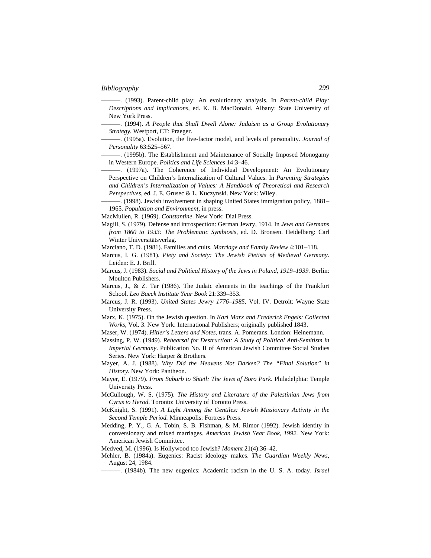———. (1993). Parent-child play: An evolutionary analysis. In *Parent-child Play: Descriptions and Implications*, ed. K. B. MacDonald. Albany: State University of New York Press.

- ———. (1994). *A People that Shall Dwell Alone: Judaism as a Group Evolutionary Strategy.* Westport, CT: Praeger.
- ———. (1995a). Evolution, the five-factor model, and levels of personality. *Journal of Personality* 63:525–567.
- -. (1995b). The Establishment and Maintenance of Socially Imposed Monogamy in Western Europe. *Politics and Life Sciences* 14:3–46.
- -. (1997a). The Coherence of Individual Development: An Evolutionary Perspective on Children's Internalization of Cultural Values. In *Parenting Strategies and Children's Internalization of Values: A Handbook of Theoretical and Research Perspectives*, ed. J. E. Grusec & L. Kuczynski. New York: Wiley.
- ———. (1998). Jewish involvement in shaping United States immigration policy, 1881– 1965. *Population and Environment*, in press.

MacMullen, R. (1969). *Constantine*. New York: Dial Press.

- Magill, S. (1979). Defense and introspection: German Jewry, 1914. In *Jews and Germans from 1860 to 1933: The Problematic Symbiosis*, ed. D. Bronsen. Heidelberg: Carl Winter Universitätsverlag.
- Marciano, T. D. (1981). Families and cults. *Marriage and Family Review* 4:101–118.
- Marcus, I. G. (1981). *Piety and Society: The Jewish Pietists of Medieval Germany*. Leiden: E. J. Brill.
- Marcus, J. (1983). *Social and Political History of the Jews in Poland, 1919–1939.* Berlin: Moulton Publishers.
- Marcus, J., & Z. Tar (1986). The Judaic elements in the teachings of the Frankfurt School. *Leo Baeck Institute Year Book* 21:339–353.
- Marcus, J. R. (1993). *United States Jewry 1776–1985*, Vol. IV. Detroit: Wayne State University Press.
- Marx, K. (1975). On the Jewish question. In *Karl Marx and Frederick Engels: Collected Works*, Vol. 3. New York: International Publishers; originally published 1843.
- Maser, W. (1974). *Hitler's Letters and Notes*, trans. A. Pomerans. London: Heinemann.
- Massing, P. W. (1949). *Rehearsal for Destruction: A Study of Political Anti-Semitism in Imperial Germany*. Publication No. II of American Jewish Committee Social Studies Series. New York: Harper & Brothers.
- Mayer, A. J. (1988). *Why Did the Heavens Not Darken? The "Final Solution" in History.* New York: Pantheon.
- Mayer, E. (1979). *From Suburb to Shtetl: The Jews of Boro Park*. Philadelphia: Temple University Press.
- McCullough, W. S. (1975). *The History and Literature of the Palestinian Jews from Cyrus to Herod*. Toronto: University of Toronto Press.
- McKnight, S. (1991). *A Light Among the Gentiles: Jewish Missionary Activity in the Second Temple Period.* Minneapolis: Fortress Press.
- Medding, P. Y., G. A. Tobin, S. B. Fishman, & M. Rimor (1992). Jewish identity in conversionary and mixed marriages. *American Jewish Year Book, 1992.* New York: American Jewish Committee.
- Medved, M. (1996). Is Hollywood too Jewish? *Moment* 21(4):36–42.
- Mehler, B. (1984a). Eugenics: Racist ideology makes. *The Guardian Weekly News*, August 24, 1984.
- ———. (1984b). The new eugenics: Academic racism in the U. S. A. today. *Israel*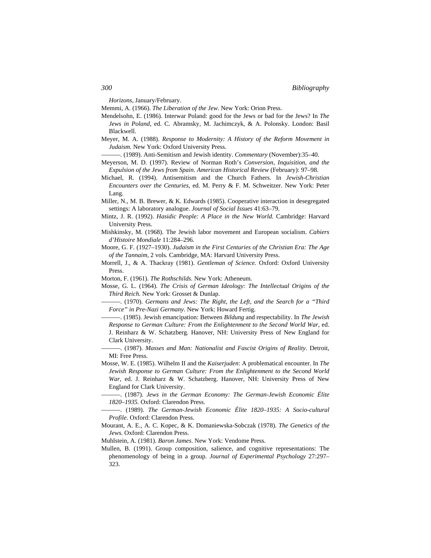*Horizons*, January/February.

Memmi, A. (1966). *The Liberation of the Jew.* New York: Orion Press.

- Mendelsohn, E. (1986). Interwar Poland: good for the Jews or bad for the Jews? In *The Jews in Poland*, ed. C. Abramsky, M. Jachimczyk, & A. Polonsky. London: Basil Blackwell.
- Meyer, M. A. (1988). *Response to Modernity: A History of the Reform Movement in Judaism.* New York: Oxford University Press.
- ———. (1989). Anti-Semitism and Jewish identity. *Commentary* (November):35–40.
- Meyerson, M. D. (1997). Review of Norman Roth's *Conversion, Inquisition, and the Expulsion of the Jews from Spain. American Historical Review* (February): 97–98.
- Michael, R. (1994). Antisemitism and the Church Fathers. In *Jewish-Christian Encounters over the Centuries*, ed. M. Perry & F. M. Schweitzer. New York: Peter Lang.
- Miller, N., M. B. Brewer, & K. Edwards (1985). Cooperative interaction in desegregated settings: A laboratory analogue. *Journal of Social Issues* 41:63–79.
- Mintz, J. R. (1992). *Hasidic People: A Place in the New World.* Cambridge: Harvard University Press.
- Mishkinsky, M. (1968). The Jewish labor movement and European socialism. *Cahiers d'Histoire Mondiale* 11:284–296.
- Moore, G. F. (1927–1930). *Judaism in the First Centuries of the Christian Era: The Age of the Tannaim*, 2 vols*.* Cambridge, MA: Harvard University Press.
- Morrell, J., & A. Thackray (1981). *Gentleman of Science.* Oxford: Oxford University Press.
- Morton, F. (1961). *The Rothschilds*. New York: Atheneum.
- Mosse, G. L. (1964). *The Crisis of German Ideology: The Intellectual Origins of the Third Reich.* New York: Grosset & Dunlap.
- ———. (1970). *Germans and Jews: The Right, the Left, and the Search for a "Third Force" in Pre-Nazi Germany*. New York: Howard Fertig.
- ———. (1985). Jewish emancipation: Between *Bildung* and respectability. In *The Jewish Response to German Culture: From the Enlightenment to the Second World War*, ed. J. Reinharz & W. Schatzberg. Hanover, NH: University Press of New England for Clark University.

- Mosse, W. E. (1985). Wilhelm II and the *Kaiserjuden*: A problematical encounter. In *The Jewish Response to German Culture: From the Enlightenment to the Second World War*, ed. J. Reinharz & W. Schatzberg. Hanover, NH: University Press of New England for Clark University.
	- ———. (1987). *Jews in the German Economy: The German-Jewish Economic Élite 1820–1935.* Oxford: Clarendon Press.
- ———. (1989). *The German-Jewish Economic Élite 1820–1935: A Socio-cultural Profile*. Oxford: Clarendon Press.
- Mourant, A. E., A. C. Kopec, & K. Domaniewska-Sobczak (1978). *The Genetics of the Jews.* Oxford: Clarendon Press.
- Muhlstein, A. (1981). *Baron James*. New York: Vendome Press.
- Mullen, B. (1991). Group composition, salience, and cognitive representations: The phenomenology of being in a group. *Journal of Experimental Psychology* 27:297– 323.

<sup>———. (1987).</sup> *Masses and Man: Nationalist and Fascist Origins of Reality*. Detroit, MI: Free Press.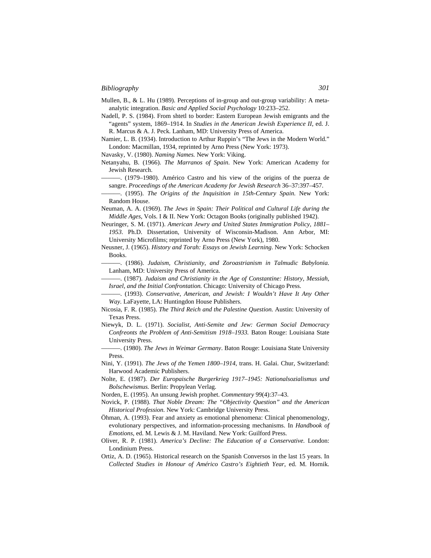- Mullen, B., & L. Hu (1989). Perceptions of in-group and out-group variability: A metaanalytic integration. *Basic and Applied Social Psychology* 10:233–252.
- Nadell, P. S. (1984). From shtetl to border: Eastern European Jewish emigrants and the "agents" system, 1869–1914. In *Studies in the American Jewish Experience II*, ed. J. R. Marcus & A. J. Peck*.* Lanham, MD: University Press of America.
- Namier, L. B. (1934). Introduction to Arthur Ruppin's "The Jews in the Modern World." London: Macmillan, 1934, reprinted by Arno Press (New York: 1973).
- Navasky, V. (1980). *Naming Names.* New York: Viking.
- Netanyahu, B. (1966). *The Marranos of Spain*. New York: American Academy for Jewish Research.
- ———. (1979–1980). Américo Castro and his view of the origins of the puerza de sangre. *Proceedings of the American Academy for Jewish Research* 36–37:397–457.
- ———. (1995). *The Origins of the Inquisition in 15th-Century Spain*. New York: Random House.
- Neuman, A. A. (1969). *The Jews in Spain: Their Political and Cultural Life during the Middle Ages*, Vols. I & II. New York: Octagon Books (originally published 1942).
- Neuringer, S. M. (1971). *American Jewry and United States Immigration Policy, 1881– 1953*. Ph.D. Dissertation, University of Wisconsin-Madison. Ann Arbor, MI: University Microfilms; reprinted by Arno Press (New York), 1980.
- Neusner, J. (1965). *History and Torah: Essays on Jewish Learning*. New York: Schocken Books.
- ———. (1986). *Judaism, Christianity, and Zoroastrianism in Talmudic Babylonia.* Lanham, MD: University Press of America.
- ———. (1987). *Judaism and Christianity in the Age of Constantine: History, Messiah, Israel, and the Initial Confrontation.* Chicago: University of Chicago Press.
- ———. (1993). *Conservative, American, and Jewish: I Wouldn't Have It Any Other Way.* LaFayette, LA: Huntingdon House Publishers.
- Nicosia, F. R. (1985). *The Third Reich and the Palestine Question.* Austin: University of Texas Press.
- Niewyk, D. L. (1971). *Socialist, Anti-Semite and Jew: German Social Democracy Confreonts the Problem of Anti-Semitism 1918–1933.* Baton Rouge: Louisiana State University Press.
- ———. (1980). *The Jews in Weimar Germany*. Baton Rouge: Louisiana State University Press.
- Nini, Y. (1991). *The Jews of the Yemen 1800–1914*, trans. H. Galai. Chur, Switzerland: Harwood Academic Publishers.
- Nolte, E. (1987). *Der Europaische Burgerkrieg 1917–1945: Nationalsozialismus und Bolschewismus.* Berlin: Propylean Verlag.
- Norden, E. (1995). An unsung Jewish prophet. *Commentary* 99(4):37–43.
- Novick, P. (1988). *That Noble Dream: The "Objectivity Question" and the American Historical Profession.* New York: Cambridge University Press.
- Öhman, A. (1993). Fear and anxiety as emotional phenomena: Clinical phenomenology, evolutionary perspectives, and information-processing mechanisms. In *Handbook of Emotions*, ed. M. Lewis & J. M. Haviland*.* New York: Guilford Press.
- Oliver, R. P. (1981). *America's Decline: The Education of a Conservative.* London: Londinium Press.
- Ortiz, A. D. (1965). Historical research on the Spanish Conversos in the last 15 years. In *Collected Studies in Honour of Américo Castro's Eightieth Year*, ed. M. Hornik*.*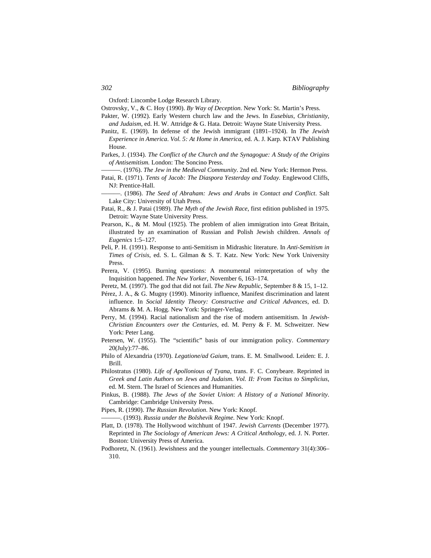Oxford: Lincombe Lodge Research Library.

- Ostrovsky, V., & C. Hoy (1990). *By Way of Deception*. New York: St. Martin's Press.
- Pakter, W. (1992). Early Western church law and the Jews. In *Eusebius, Christianity, and Judaism*, ed. H. W. Attridge & G. Hata. Detroit: Wayne State University Press.
- Panitz, E. (1969). In defense of the Jewish immigrant (1891–1924). In *The Jewish Experience in America*. *Vol. 5: At Home in America*, ed. A. J. Karp*.* KTAV Publishing House.
- Parkes, J. (1934). *The Conflict of the Church and the Synagogue: A Study of the Origins of Antisemitism.* London: The Soncino Press.
	- ———. (1976). *The Jew in the Medieval Community*. 2nd ed. New York: Hermon Press.
- Patai, R. (1971). *Tents of Jacob: The Diaspora Yesterday and Today.* Englewood Cliffs, NJ: Prentice-Hall.
- ———. (1986). *The Seed of Abraham: Jews and Arabs in Contact and Conflict*. Salt Lake City: University of Utah Press.
- Patai, R., & J. Patai (1989). *The Myth of the Jewish Race*, first edition published in 1975. Detroit: Wayne State University Press.
- Pearson, K., & M. Moul (1925). The problem of alien immigration into Great Britain, illustrated by an examination of Russian and Polish Jewish children. *Annals of Eugenics* 1:5–127.
- Peli, P. H. (1991). Response to anti-Semitism in Midrashic literature. In *Anti-Semitism in Times of Crisis*, ed. S. L. Gilman & S. T. Katz. New York: New York University Press.
- Perera, V. (1995). Burning questions: A monumental reinterpretation of why the Inquisition happened. *The New Yorker*, November 6, 163–174.
- Peretz, M. (1997). The god that did not fail. *The New Republic,* September 8 & 15, 1–12.
- Pérez, J. A., & G. Mugny (1990). Minority influence, Manifest discrimination and latent influence. In *Social Identity Theory: Constructive and Critical Advances*, ed. D. Abrams & M. A. Hogg. New York: Springer-Verlag.
- Perry, M. (1994). Racial nationalism and the rise of modern antisemitism. In *Jewish-Christian Encounters over the Centuries*, ed. M. Perry & F. M. Schweitzer. New York: Peter Lang.
- Petersen, W. (1955). The "scientific" basis of our immigration policy. *Commentary*  20(July):77–86.
- Philo of Alexandria (1970). *Legatione/ad Gaium*, trans. E. M. Smallwood. Leiden: E. J. Brill.
- Philostratus (1980). *Life of Apollonious of Tyana*, trans. F. C. Conybeare. Reprinted in *Greek and Latin Authors on Jews and Judaism. Vol. II: From Tacitus to Simplicius*, ed. M. Stern. The Israel of Sciences and Humanities.
- Pinkus, B. (1988). *The Jews of the Soviet Union*: *A History of a National Minority*. Cambridge: Cambridge University Press.
- Pipes, R. (1990). *The Russian Revolution*. New York: Knopf.
- ———. (1993). *Russia under the Bolshevik Regime.* New York: Knopf.
- Platt, D. (1978). The Hollywood witchhunt of 1947. *Jewish Currents* (December 1977). Reprinted in *The Sociology of American Jews: A Critical Anthology*, ed. J. N. Porter. Boston: University Press of America.
- Podhoretz, N. (1961). Jewishness and the younger intellectuals. *Commentary* 31(4):306– 310.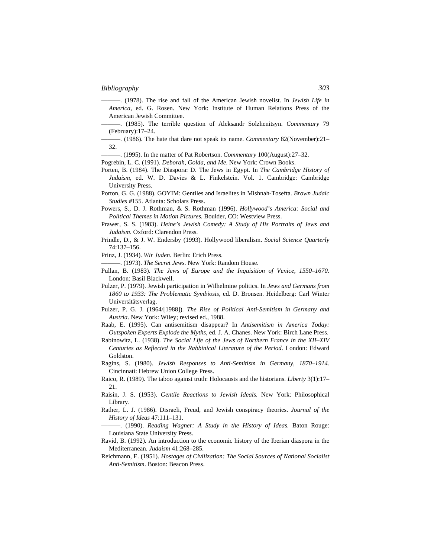- ———. (1978). The rise and fall of the American Jewish novelist. In *Jewish Life in America*, ed. G. Rosen. New York: Institute of Human Relations Press of the American Jewish Committee.
- ———. (1985). The terrible question of Aleksandr Solzhenitsyn. *Commentary* 79 (February):17–24.
- ———. (1986). The hate that dare not speak its name. *Commentary* 82(November):21– 32.

———. (1995). In the matter of Pat Robertson. *Commentary* 100(August):27–32.

- Pogrebin, L. C. (1991). *Deborah, Golda, and Me*. New York: Crown Books.
- Porten, B. (1984). The Diaspora: D. The Jews in Egypt. In *The Cambridge History of Judaism,* ed. W. D. Davies & L. Finkelstein. Vol. 1. Cambridge: Cambridge University Press.
- Porton, G. G. (1988). GOYIM: Gentiles and Israelites in Mishnah-Tosefta. *Brown Judaic Studies* #155. Atlanta: Scholars Press.
- Powers, S., D. J. Rothman, & S. Rothman (1996). *Hollywood's America: Social and Political Themes in Motion Pictures.* Boulder, CO: Westview Press.
- Prawer, S. S. (1983). *Heine's Jewish Comedy: A Study of His Portraits of Jews and Judaism*. Oxford: Clarendon Press.
- Prindle, D., & J. W. Endersby (1993). Hollywood liberalism. *Social Science Quarterly*  74:137–156.
- Prinz, J. (1934). *Wir Juden*. Berlin: Erich Press.
- ———. (1973). *The Secret Jews.* New York: Random House.
- Pullan, B. (1983). *The Jews of Europe and the Inquisition of Venice, 1550–1670.* London: Basil Blackwell.
- Pulzer, P. (1979). Jewish participation in Wilhelmine politics. In *Jews and Germans from 1860 to 1933: The Problematic Symbiosis*, ed. D. Bronsen. Heidelberg: Carl Winter Universitätsverlag.
- Pulzer, P. G. J. (1964/[1988]). *The Rise of Political Anti-Semitism in Germany and Austria*. New York: Wiley; revised ed., 1988.
- Raab, E. (1995). Can antisemitism disappear? In *Antisemitism in America Today: Outspoken Experts Explode the Myths*, ed. J. A. Chanes. New York: Birch Lane Press.
- Rabinowitz, L. (1938). *The Social Life of the Jews of Northern France in the XII–XIV Centuries as Reflected in the Rabbinical Literature of the Period*. London: Edward Goldston.
- Ragins, S. (1980). *Jewish Responses to Anti-Semitism in Germany, 1870–1914.*  Cincinnati: Hebrew Union College Press.
- Raico, R. (1989). The taboo against truth: Holocausts and the historians. *Liberty* 3(1):17– 21.
- Raisin, J. S. (1953). *Gentile Reactions to Jewish Ideals.* New York: Philosophical Library.
- Rather, L. J. (1986). Disraeli, Freud, and Jewish conspiracy theories. *Journal of the History of Ideas* 47:111–131.
- ———. (1990). *Reading Wagner: A Study in the History of Ideas.* Baton Rouge: Louisiana State University Press.
- Ravid, B. (1992). An introduction to the economic history of the Iberian diaspora in the Mediterranean. *Judaism* 41:268–285.
- Reichmann, E. (1951). *Hostages of Civilization: The Social Sources of National Socialist Anti-Semitism*. Boston: Beacon Press.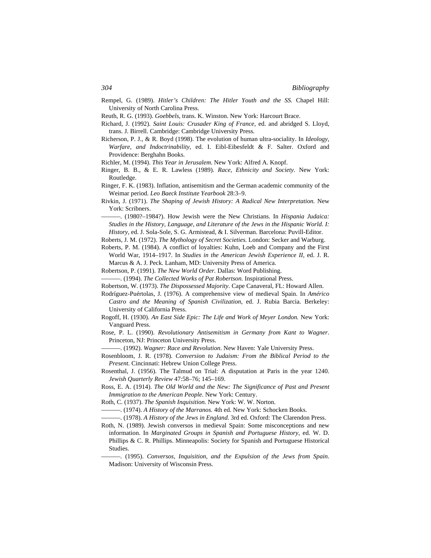Rempel, G. (1989). *Hitler's Children: The Hitler Youth and the SS.* Chapel Hill: University of North Carolina Press.

Reuth, R. G. (1993). *Goebbels*, trans. K. Winston. New York: Harcourt Brace.

- Richard, J. (1992). *Saint Louis: Crusader King of France*, ed. and abridged S. Lloyd, trans. J. Birrell. Cambridge: Cambridge University Press.
- Richerson, P. J., & R. Boyd (1998). The evolution of human ultra-sociality. In *Ideology, Warfare, and Indoctrinability*, ed. I. Eibl-Eibesfeldt & F. Salter. Oxford and Providence: Berghahn Books.
- Richler, M. (1994). *This Year in Jerusalem*. New York: Alfred A. Knopf.
- Ringer, B. B., & E. R. Lawless (1989). *Race, Ethnicity and Society.* New York: Routledge.
- Ringer, F. K. (1983). Inflation, antisemitism and the German academic community of the Weimar period. *Leo Baeck Institute Yearbook* 28:3–9.
- Rivkin, J. (1971). *The Shaping of Jewish History: A Radical New Interpretation.* New York: Scribners.

———. (1980?–1984?). How Jewish were the New Christians. In *Hispania Judaica: Studies in the History, Language, and Literature of the Jews in the Hispanic World. I: History*, ed. J. Sola-Sole, S. G. Armistead, & I. Silverman. Barcelona: Puvill-Editor.

Roberts, J. M. (1972). *The Mythology of Secret Societies*. London: Secker and Warburg.

- Roberts, P. M. (1984). A conflict of loyalties: Kuhn, Loeb and Company and the First World War, 1914–1917. In *Studies in the American Jewish Experience II*, ed. J. R. Marcus & A. J. Peck*.* Lanham, MD: University Press of America.
- Robertson, P. (1991). *The New World Order.* Dallas: Word Publishing.
- -. (1994). The Collected Works of Pat Robertson. Inspirational Press.
- Robertson, W. (1973). *The Dispossessed Majority*. Cape Canaveral, FL: Howard Allen.
- Rodríguez-Puértolas, J. (1976). A comprehensive view of medieval Spain. In *Américo Castro and the Meaning of Spanish Civilization*, ed. J. Rubia Barcia*.* Berkeley: University of California Press.
- Rogoff, H. (1930). *An East Side Epic: The Life and Work of Meyer London.* New York: Vanguard Press.
- Rose, P. L. (1990). *Revolutionary Antisemitism in Germany from Kant to Wagner*. Princeton, NJ: Princeton University Press.
- ———. (1992). *Wagner: Race and Revolution*. New Haven: Yale University Press.
- Rosenbloom, J. R. (1978). *Conversion to Judaism: From the Biblical Period to the Present.* Cincinnati: Hebrew Union College Press.
- Rosenthal, J. (1956). The Talmud on Trial: A disputation at Paris in the year 1240. *Jewish Quarterly Review* 47:58–76; 145–169.
- Ross, E. A. (1914). *The Old World and the New: The Significance of Past and Present Immigration to the American People*. New York: Century.
- Roth, C. (1937). *The Spanish Inquisition.* New York: W. W. Norton.
- ———. (1974). *A History of the Marranos.* 4th ed. New York: Schocken Books.
- ———. (1978). *A History of the Jews in England*. 3rd ed. Oxford: The Clarendon Press.
- Roth, N. (1989). Jewish conversos in medieval Spain: Some misconceptions and new information. In *Marginated Groups in Spanish and Portuguese History*, ed. W. D. Phillips & C. R. Phillips. Minneapolis: Society for Spanish and Portuguese Historical Studies.
	- ———. (1995). *Conversos, Inquisition, and the Expulsion of the Jews from Spain*. Madison: University of Wisconsin Press.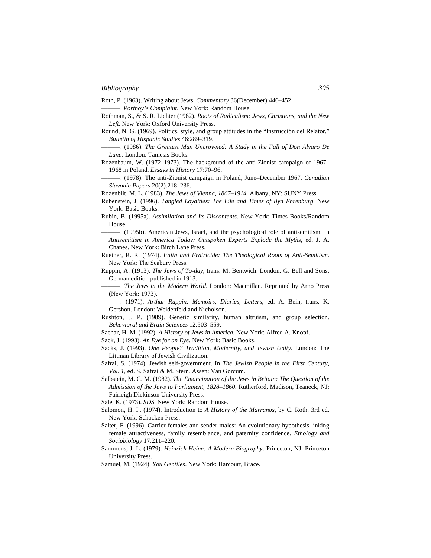Roth, P. (1963). Writing about Jews. *Commentary* 36(December):446–452.

———. *Portnoy's Complaint*. New York: Random House.

- Rothman, S., & S. R. Lichter (1982). *Roots of Radicalism: Jews, Christians, and the New Left*. New York: Oxford University Press.
- Round, N. G. (1969). Politics, style, and group attitudes in the "Instrucción del Relator." *Bulletin of Hispanic Studies* 46:289–319.
- ———. (1986). *The Greatest Man Uncrowned: A Study in the Fall of Don Alvaro De Luna*. London: Tamesis Books.
- Rozenbaum, W. (1972–1973). The background of the anti-Zionist campaign of 1967– 1968 in Poland. *Essays in History* 17:70–96.
- ———. (1978). The anti-Zionist campaign in Poland, June–December 1967. *Canadian Slavonic Papers* 20(2):218–236.

Rozenblit, M. L. (1983). *The Jews of Vienna, 1867–1914.* Albany, NY: SUNY Press.

- Rubenstein, J. (1996). *Tangled Loyalties: The Life and Times of Ilya Ehrenburg.* New York: Basic Books.
- Rubin, B. (1995a). *Assimilation and Its Discontents*. New York: Times Books/Random House.
- ———. (1995b). American Jews, Israel, and the psychological role of antisemitism. In *Antisemitism in America Today: Outspoken Experts Explode the Myths*, ed. J. A. Chanes. New York: Birch Lane Press.
- Ruether, R. R. (1974). *Faith and Fratricide: The Theological Roots of Anti-Semitism*. New York: The Seabury Press.
- Ruppin, A. (1913). *The Jews of To-day*, trans. M. Bentwich. London: G. Bell and Sons; German edition published in 1913.
	- ———. *The Jews in the Modern World*. London: Macmillan. Reprinted by Arno Press (New York: 1973).
	- ———. (1971). *Arthur Ruppin: Memoirs, Diaries, Letters*, ed. A. Bein, trans. K. Gershon. London: Weidenfeld and Nicholson.
- Rushton, J. P. (1989). Genetic similarity, human altruism, and group selection. *Behavioral and Brain Sciences* 12:503–559.
- Sachar, H. M. (1992). *A History of Jews in America.* New York: Alfred A. Knopf.
- Sack, J. (1993). *An Eye for an Eye*. New York: Basic Books.
- Sacks, J. (1993). *One People? Tradition, Modernity, and Jewish Unity*. London: The Littman Library of Jewish Civilization.
- Safrai, S. (1974). Jewish self-government. In *The Jewish People in the First Century, Vol. 1*, ed. S. Safrai & M. Stern*.* Assen: Van Gorcum.
- Salbstein, M. C. M. (1982). *The Emancipation of the Jews in Britain: The Question of the Admission of the Jews to Parliament, 1828–1860.* Rutherford, Madison, Teaneck, NJ: Fairleigh Dickinson University Press.
- Sale, K. (1973). *SDS*. New York: Random House.
- Salomon, H. P. (1974). Introduction to *A History of the Marranos*, by C. Roth. 3rd ed. New York: Schocken Press.
- Salter, F. (1996). Carrier females and sender males: An evolutionary hypothesis linking female attractiveness, family resemblance, and paternity confidence. *Ethology and Sociobiology* 17:211–220.
- Sammons, J. L. (1979). *Heinrich Heine: A Modern Biography*. Princeton, NJ: Princeton University Press.
- Samuel, M. (1924). *You Gentiles*. New York: Harcourt, Brace.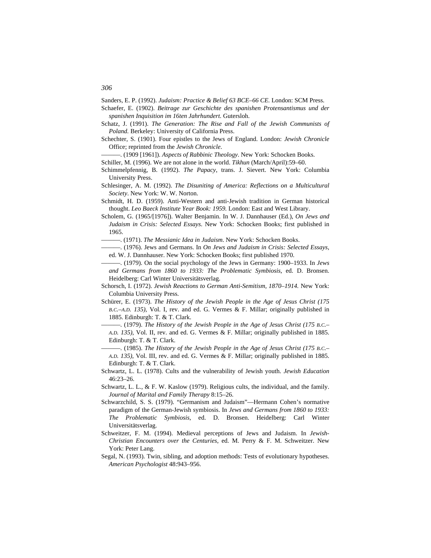Sanders, E. P. (1992). *Judaism: Practice & Belief 63 BCE–66 CE.* London: SCM Press.

- Schaefer, E. (1902). *Beitrage zur Geschichte des spanishen Protensantismus und der spanishen Inquisition im 16ten Jahrhundert.* Gutersloh.
- Schatz, J. (1991). *The Generation: The Rise and Fall of the Jewish Communists of Poland.* Berkeley: University of California Press.
- Schechter, S. (1901). Four epistles to the Jews of England. London: *Jewish Chronicle* Office; reprinted from the *Jewish Chronicle*.

———. (1909 [1961]). *Aspects of Rabbinic Theology*. New York: Schocken Books.

- Schiller, M. (1996). We are not alone in the world. *Tikhun* (March/April):59–60.
- Schimmelpfennig, B. (1992). *The Papacy*, trans. J. Sievert. New York: Columbia University Press.
- Schlesinger, A. M. (1992). *The Disuniting of America: Reflections on a Multicultural Society*. New York: W. W. Norton.
- Schmidt, H. D. (1959). Anti-Western and anti-Jewish tradition in German historical thought. *Leo Baeck Institute Year Book: 1959.* London: East and West Library.
- Scholem, G. (1965/[1976]). Walter Benjamin. In W. J. Dannhauser (Ed.), *On Jews and Judaism in Crisis: Selected Essays*. New York: Schocken Books; first published in 1965.
- ———. (1971). *The Messianic Idea in Judaism*. New York: Schocken Books.
- ———. (1976). Jews and Germans. In *On Jews and Judaism in Crisis: Selected Essays*, ed. W. J. Dannhauser. New York: Schocken Books; first published 1970.
- ———. (1979). On the social psychology of the Jews in Germany: 1900–1933. In *Jews and Germans from 1860 to 1933: The Problematic Symbiosis*, ed. D. Bronsen. Heidelberg: Carl Winter Universitätsverlag.
- Schorsch, I. (1972). *Jewish Reactions to German Anti-Semitism, 1870–1914.* New York: Columbia University Press.
- Schürer, E. (1973). *The History of the Jewish People in the Age of Jesus Christ (175 B.C.–A.D. 135)*, Vol. I, rev. and ed. G. Vermes & F. Millar; originally published in 1885. Edinburgh: T. & T. Clark.
- ———. (1979). *The History of the Jewish People in the Age of Jesus Christ (175 B.C.– A.D. 135)*, Vol. II, rev. and ed. G. Vermes & F. Millar; originally published in 1885. Edinburgh: T. & T. Clark.
- ———. (1985). *The History of the Jewish People in the Age of Jesus Christ (175 B.C.– A.D. 135)*, Vol. III, rev. and ed. G. Vermes & F. Millar; originally published in 1885. Edinburgh: T. & T. Clark.
- Schwartz, L. L. (1978). Cults and the vulnerability of Jewish youth. *Jewish Education*  46:23–26.
- Schwartz, L. L., & F. W. Kaslow (1979). Religious cults, the individual, and the family. *Journal of Marital and Family Therapy* 8:15–26.
- Schwarzchild, S. S. (1979). "Germanism and Judaism"—Hermann Cohen's normative paradigm of the German-Jewish symbiosis. In *Jews and Germans from 1860 to 1933: The Problematic Symbiosis*, ed. D. Bronsen. Heidelberg: Carl Winter Universitätsverlag.
- Schweitzer, F. M. (1994). Medieval perceptions of Jews and Judaism. In *Jewish-Christian Encounters over the Centuries*, ed. M. Perry & F. M. Schweitzer. New York: Peter Lang.
- Segal, N. (1993). Twin, sibling, and adoption methods: Tests of evolutionary hypotheses. *American Psychologist* 48:943–956.

#### *306 Bibliography*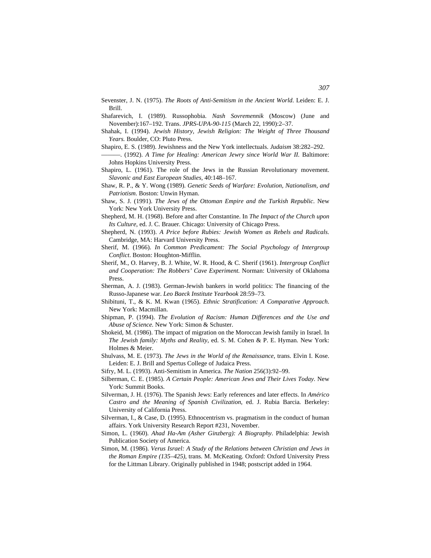Sevenster, J. N. (1975). *The Roots of Anti-Semitism in the Ancient World*. Leiden: E. J. Brill.

- Shafarevich, I. (1989). Russophobia. *Nash Sovremennik* (Moscow) (June and November):167–192. Trans. *JPRS-UPA-90-115* (March 22, 1990):2–37.
- Shahak, I. (1994). *Jewish History, Jewish Religion: The Weight of Three Thousand Years.* Boulder, CO: Pluto Press.
- Shapiro, E. S. (1989). Jewishness and the New York intellectuals. *Judaism* 38:282–292.
- ———. (1992). *A Time for Healing: American Jewry since World War II.* Baltimore: Johns Hopkins University Press.
- Shapiro, L. (1961). The role of the Jews in the Russian Revolutionary movement. *Slavonic and East European Studies,* 40:148–167.
- Shaw, R. P., & Y. Wong (1989). *Genetic Seeds of Warfare: Evolution, Nationalism, and Patriotism*. Boston: Unwin Hyman.
- Shaw, S. J. (1991). *The Jews of the Ottoman Empire and the Turkish Republic*. New York: New York University Press.
- Shepherd, M. H. (1968). Before and after Constantine. In *The Impact of the Church upon Its Culture*, ed. J. C. Brauer*.* Chicago: University of Chicago Press.
- Shepherd, N. (1993). *A Price before Rubies: Jewish Women as Rebels and Radicals.*  Cambridge, MA: Harvard University Press.
- Sherif, M. (1966). *In Common Predicament: The Social Psychology of Intergroup Conflict*. Boston: Houghton-Mifflin.
- Sherif, M., O. Harvey, B. J. White, W. R. Hood, & C. Sherif (1961). *Intergroup Conflict and Cooperation: The Robbers' Cave Experiment.* Norman: University of Oklahoma Press.
- Sherman, A. J. (1983). German-Jewish bankers in world politics: The financing of the Russo-Japanese war. *Leo Baeck Institute Yearbook* 28:59–73.
- Shibituni, T., & K. M. Kwan (1965). *Ethnic Stratification: A Comparative Approach*. New York: Macmillan.
- Shipman, P. (1994). *The Evolution of Racism: Human Differences and the Use and Abuse of Science.* New York: Simon & Schuster.
- Shokeid, M. (1986). The impact of migration on the Moroccan Jewish family in Israel. In *The Jewish family: Myths and Reality*, ed. S. M. Cohen & P. E. Hyman*.* New York: Holmes & Meier.
- Shulvass, M. E. (1973). *The Jews in the World of the Renaissance*, trans. Elvin I. Kose. Leiden: E. J. Brill and Spertus College of Judaica Press.
- Sifry, M. L. (1993). Anti-Semitism in America. *The Nation* 256(3):92–99.
- Silberman, C. E. (1985). *A Certain People: American Jews and Their Lives Today.* New York: Summit Books.
- Silverman, J. H. (1976). The Spanish Jews: Early references and later effects. In *Américo Castro and the Meaning of Spanish Civilization*, ed. J. Rubia Barcia*.* Berkeley: University of California Press.
- Silverman, I., & Case, D. (1995). Ethnocentrism vs. pragmatism in the conduct of human affairs. York University Research Report #231, November.
- Simon, L. (1960). *Ahad Ha-Am (Asher Ginzberg): A Biography*. Philadelphia: Jewish Publication Society of America.
- Simon, M. (1986). *Verus Israel: A Study of the Relations between Christian and Jews in the Roman Empire (135–425)*, trans. M. McKeating. Oxford: Oxford University Press for the Littman Library. Originally published in 1948; postscript added in 1964.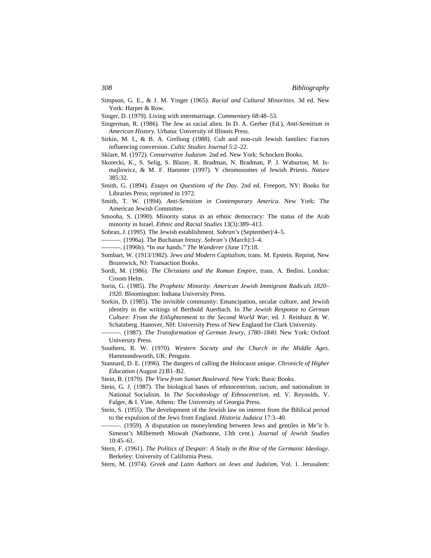- Simpson, G. E., & J. M. Yinger (1965). *Racial and Cultural Minorities.* 3d ed. New York: Harper & Row.
- Singer, D. (1979). Living with intermarriage. *Commentary* 68:48–53.
- Singerman, R. (1986). The Jew as racial alien. In D. A. Gerber (Ed.), *Anti-Semitism in American History.* Urbana: University of Illinois Press.
- Sirkin, M. I., & B. A. Grellong (1988). Cult and non-cult Jewish families: Factors influencing conversion. *Cultic Studies Journal* 5:2–22.
- Sklare, M. (1972). *Conservative Judaism*. 2nd ed. New York: Schocken Books.
- Skorecki, K., S. Selig, S. Blazer, R. Bradman, N. Bradman, P. J. Waburton, M. Ismajlowicz, & M. F. Hammer (1997). Y chromosomes of Jewish Priests. *Nature*  385:32.
- Smith, G. (1894). *Essays on Questions of the Day*. 2nd ed. Freeport, NY: Books for Libraries Press; reprinted in 1972.
- Smith, T. W. (1994). *Anti-Semitism in Contemporary America*. New York: The American Jewish Committee.
- Smooha, S. (1990). Minority status in an ethnic democracy: The status of the Arab minority in Israel. *Ethnic and Racial Studies* 13(3):389–413.
- Sobran, J. (1995). The Jewish establishment. *Sobran's* (September):4–5.
- ———. (1996a). The Buchanan frenzy. *Sobran's* (March):3–4.
- ———. (1996b). "In our hands." *The Wanderer* (June 17):18.
- Sombart, W. (1913/1982). *Jews and Modern Capitalism*, trans. M. Epstein. Reprint, New Brunswick, NJ: Transaction Books.
- Sordi, M. (1986). *The Christians and the Roman Empire*, trans. A. Bedini. London: Croom Helm.
- Sorin, G. (1985). *The Prophetic Minority: American Jewish Immigrant Radicals 1820– 1920.* Bloomington: Indiana University Press.
- Sorkin, D. (1985). The invisible community: Emancipation, secular culture, and Jewish identity in the writings of Berthold Auerbach. In *The Jewish Response to German Culture: From the Enlightenment to the Second World War*, ed. J. Reinharz & W. Schatzberg. Hanover, NH: University Press of New England for Clark University.
- ———. (1987). *The Transformation of German Jewry, 1780–1840.* New York: Oxford University Press.
- Southern, R. W. (1970). *Western Society and the Church in the Middle Ages*. Hammondsworth, UK: Penguin.
- Stannard, D. E. (1996). The dangers of calling the Holocaust unique. *Chronicle of Higher Education* (August 2):B1–B2.
- Stein, B. (1979). *The View from Sunset Boulevard*. New York: Basic Books.
- Stein, G. J. (1987). The biological bases of ethnocentrism, racism, and nationalism in National Socialism. In *The Sociobiology of Ethnocentrism*, ed. V. Reynolds, V. Falger, & I. Vine*.* Athens: The University of Georgia Press.
- Stein, S. (1955). The development of the Jewish law on interest from the Biblical period to the expulsion of the Jews from England. *Historia Judaica* 17:3–40.
- -. (1959). A disputation on moneylending between Jews and gentiles in Me'ir b. Simeon's Milhemeth Miswah (Narbonne, 13th cent.). *Journal of Jewish Studies* 10:45–61.
- Stern, F. (1961). *The Politics of Despair: A Study in the Rise of the Germanic Ideology*. Berkeley: University of California Press.
- Stern, M. (1974). *Greek and Latin Authors on Jews and Judaism*, Vol. 1. Jerusalem: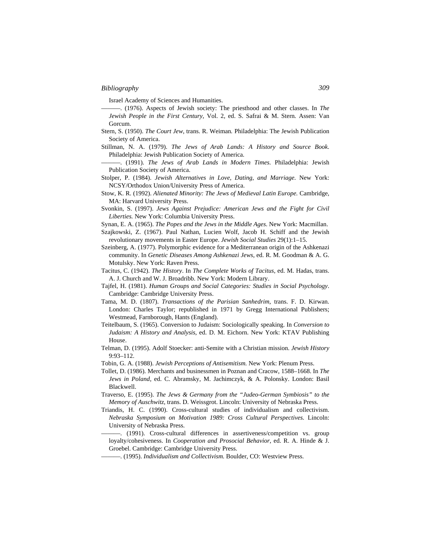Israel Academy of Sciences and Humanities.

- ———. (1976). Aspects of Jewish society: The priesthood and other classes. In *The Jewish People in the First Century,* Vol. 2, ed. S. Safrai & M. Stern*.* Assen: Van Gorcum.
- Stern, S. (1950). *The Court Jew*, trans. R. Weiman*.* Philadelphia: The Jewish Publication Society of America.
- Stillman, N. A. (1979). *The Jews of Arab Lands: A History and Source Book*. Philadelphia: Jewish Publication Society of America.
- ———. (1991). *The Jews of Arab Lands in Modern Times.* Philadelphia: Jewish Publication Society of America.
- Stolper, P. (1984). *Jewish Alternatives in Love, Dating, and Marriage.* New York: NCSY/Orthodox Union/University Press of America.
- Stow, K. R. (1992). *Alienated Minority: The Jews of Medieval Latin Europe.* Cambridge, MA: Harvard University Press.
- Svonkin, S. (1997). *Jews Against Prejudice: American Jews and the Fight for Civil Liberties.* New York: Columbia University Press.
- Synan, E. A. (1965). *The Popes and the Jews in the Middle Ages*. New York: Macmillan.
- Szajkowski, Z. (1967). Paul Nathan, Lucien Wolf, Jacob H. Schiff and the Jewish revolutionary movements in Easter Europe. *Jewish Social Studies* 29(1):1–15.
- Szeinberg, A. (1977). Polymorphic evidence for a Mediterranean origin of the Ashkenazi community. In *Genetic Diseases Among Ashkenazi Jews*, ed. R. M. Goodman & A. G. Motulsky. New York: Raven Press.
- Tacitus, C. (1942). *The History*. In *The Complete Works of Tacitus*, ed. M. Hadas, trans. A. J. Church and W. J. Broadribb. New York: Modern Library.
- Tajfel, H. (1981). *Human Groups and Social Categories: Studies in Social Psychology*. Cambridge: Cambridge University Press.
- Tama, M. D. (1807). *Transactions of the Parisian Sanhedrim*, trans. F. D. Kirwan. London: Charles Taylor; republished in 1971 by Gregg International Publishers; Westmead, Farnborough, Hants (England).
- Teitelbaum, S. (1965). Conversion to Judaism: Sociologically speaking. In *Conversion to Judaism: A History and Analysis*, ed. D. M. Eichorn. New York: KTAV Publishing House.
- Telman, D. (1995). Adolf Stoecker: anti-Semite with a Christian mission. *Jewish History*  9:93–112.
- Tobin, G. A. (1988). *Jewish Perceptions of Antisemitism.* New York: Plenum Press.
- Tollet, D. (1986). Merchants and businessmen in Poznan and Cracow, 1588–1668. In *The Jews in Poland*, ed. C. Abramsky, M. Jachimczyk, & A. Polonsky. London: Basil Blackwell.
- Traverso, E. (1995). *The Jews & Germany from the "Judeo-German Symbiosis" to the Memory of Auschwitz*, trans. D. Weissgrot. Lincoln: University of Nebraska Press.
- Triandis, H. C. (1990). Cross-cultural studies of individualism and collectivism. *Nebraska Symposium on Motivation 1989: Cross Cultural Perspectives.* Lincoln: University of Nebraska Press.
- -. (1991). Cross-cultural differences in assertiveness/competition vs. group loyalty/cohesiveness. In *Cooperation and Prosocial Behavior*, ed. R. A. Hinde & J. Groebel. Cambridge: Cambridge University Press.
- ———. (1995). *Individualism and Collectivism.* Boulder, CO: Westview Press.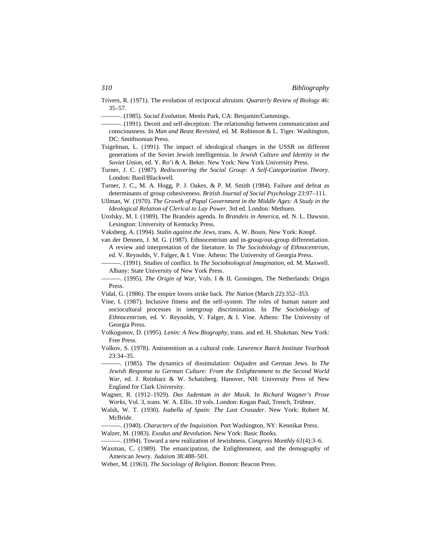- Trivers, R. (1971). The evolution of reciprocal altruism. *Quarterly Review of Biology* 46: 35–57.
- ———. (1985). *Social Evolution*. Menlo Park, CA: Benjamin/Cummings.
- ———. (1991). Deceit and self-deception: The relationship between communication and consciousness. In *Man and Beast Revisited*, ed. M. Robinson & L. Tiger*.* Washington, DC: Smithsonian Press.
- Tsigelman, L. (1991). The impact of ideological changes in the USSR on different generations of the Soviet Jewish intelligentsia. In *Jewish Culture and Identity in the Soviet Union*, ed. Y. Ro'i & A. Beker. New York: New York University Press.
- Turner, J. C. (1987). *Rediscovering the Social Group: A Self-Categorization Theory.* London: Basil/Blackwell.
- Turner, J. C., M. A. Hogg, P. J. Oakes, & P. M. Smith (1984). Failure and defeat as determinants of group cohesiveness. *British Journal of Social Psychology* 23:97–111.
- Ullman, W. (1970). *The Growth of Papal Government in the Middle Ages: A Study in the Ideological Relation of Clerical to Lay Power*. 3rd ed. London: Methuen.
- Urofsky, M. I. (1989). The Brandeis agenda. In *Brandeis in America*, ed. N. L. Dawson. Lexington: University of Kentucky Press.
- Vaksberg, A. (1994). *Stalin against the Jews*, trans. A. W. Bouis. New York: Knopf.
- van der Dennen, J. M. G. (1987). Ethnocentrism and in-group/out-group differentiation. A review and interpretation of the literature. In *The Sociobiology of Ethnocentrism*, ed. V. Reynolds, V. Falger, & I. Vine*.* Athens: The University of Georgia Press.
- ———. (1991). Studies of conflict. In *The Sociobiological Imagination*, ed. M. Maxwell. Albany: State University of New York Press.
- ———. (1995). *The Origin of War*, Vols. I & II. Groningen, The Netherlands: Origin Press.
- Vidal, G. (1986). The empire lovers strike back. *The Nation* (March 22):352–353.
- Vine, I. (1987). Inclusive fitness and the self-system. The roles of human nature and sociocultural processes in intergroup discrimination. In *The Sociobiology of Ethnocentrism*, ed. V. Reynolds, V. Falger, & I. Vine*.* Athens: The University of Georgia Press.
- Volkogonov, D. (1995). *Lenin: A New Biography*, trans. and ed. H. Shukman. New York: Free Press.
- Volkov, S. (1978). Antisemitism as a cultural code. *Lawrence Baeck Institute Yearbook*  23:34–35.
- ———. (1985). The dynamics of dissimulation: *Ostjuden* and German Jews. In *The Jewish Response to German Culture: From the Enlightenment to the Second World War*, ed. J. Reinharz & W. Schatzberg. Hanover, NH: University Press of New England for Clark University.
- Wagner, R. (1912–1929). *Das Judentum in der Musik*. In *Richard Wagner's Prose Works*, Vol. 3, trans. W. A. Ellis. 10 vols. London: Kegan Paul, Trench, Trübner.
- Walsh, W. T. (1930). *Isabella of Spain: The Last Crusader*. New York: Robert M. McBride.
- ———. (1940). *Characters of the Inquisition.* Port Washington, NY: Kennikat Press.
- Walzer, M. (1983). *Exodus and Revolution*. New York: Basic Books.
- ———. (1994). Toward a new realization of Jewishness. *Congress Monthly 61*(4):3–6.
- Waxman, C. (1989). The emancipation, the Enlightenment, and the demography of American Jewry. *Judaism* 38:488–501.
- Weber, M. (1963). *The Sociology of Religion.* Boston: Beacon Press.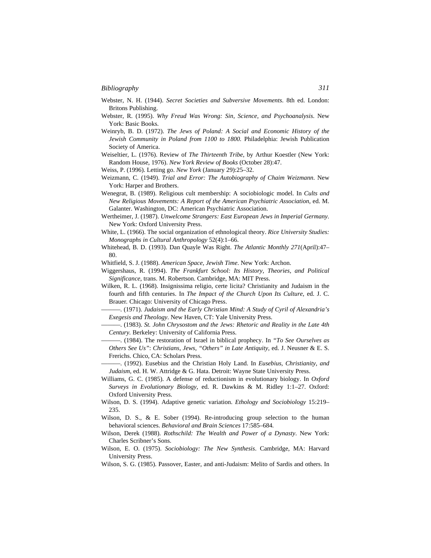- Webster, N. H. (1944). *Secret Societies and Subversive Movements*. 8th ed. London: Britons Publishing.
- Webster, R. (1995). *Why Freud Was Wrong: Sin, Science, and Psychoanalysis*. New York: Basic Books.
- Weinryb, B. D. (1972). *The Jews of Poland: A Social and Economic History of the Jewish Community in Poland from 1100 to 1800.* Philadelphia: Jewish Publication Society of America.
- Weiseltier, L. (1976). Review of *The Thirteenth Tribe*, by Arthur Koestler (New York: Random House, 1976). *New York Review of Books* (October 28):47.
- Weiss, P. (1996). Letting go. *New York* (January 29):25–32.
- Weizmann, C. (1949). *Trial and Error: The Autobiography of Chaim Weizmann*. New York: Harper and Brothers.
- Wenegrat, B. (1989). Religious cult membership: A sociobiologic model. In *Cults and New Religious Movements: A Report of the American Psychiatric Association*, ed. M. Galanter. Washington, DC: American Psychiatric Association.
- Wertheimer, J. (1987). *Unwelcome Strangers: East European Jews in Imperial Germany.* New York: Oxford University Press.
- White, L. (1966). The social organization of ethnological theory. *Rice University Studies: Monographs in Cultural Anthropology* 52(4):1–66.
- Whitehead, B. D. (1993). Dan Quayle Was Right. *The Atlantic Monthly 271*(April):47– 80.
- Whitfield, S. J. (1988). *American Space, Jewish Time*. New York: Archon.
- Wiggershaus, R. (1994). *The Frankfurt School: Its History, Theories, and Political Significance*, trans. M. Robertson. Cambridge, MA: MIT Press.
- Wilken, R. L. (1968). Insignissima religio, certe licita? Christianity and Judaism in the fourth and fifth centuries. In *The Impact of the Church Upon Its Culture*, ed. J. C. Brauer*.* Chicago: University of Chicago Press.
- ———. (1971). *Judaism and the Early Christian Mind: A Study of Cyril of Alexandria's Exegesis and Theology*. New Haven, CT: Yale University Press.
- ———. (1983). *St. John Chrysostom and the Jews: Rhetoric and Reality in the Late 4th Century.* Berkeley: University of California Press.
- ———. (1984). The restoration of Israel in biblical prophecy. In *"To See Ourselves as Others See Us"*: *Christians, Jews, "Others" in Late Antiquity*, ed. J. Neusner & E. S. Frerichs. Chico, CA: Scholars Press.
- ———. (1992). Eusebius and the Christian Holy Land. In *Eusebius, Christianity, and Judaism*, ed. H. W. Attridge & G. Hata. Detroit: Wayne State University Press.
- Williams, G. C. (1985). A defense of reductionism in evolutionary biology. In *Oxford Surveys in Evolutionary Biology*, ed. R. Dawkins & M. Ridley 1:1–27. Oxford: Oxford University Press.
- Wilson, D. S. (1994). Adaptive genetic variation. *Ethology and Sociobiology* 15:219– 235.
- Wilson, D. S., & E. Sober (1994). Re-introducing group selection to the human behavioral sciences. *Behavioral and Brain Sciences* 17:585–684*.*
- Wilson, Derek (1988). *Rothschild: The Wealth and Power of a Dynasty*. New York: Charles Scribner's Sons.
- Wilson, E. O. (1975). *Sociobiology: The New Synthesis*. Cambridge, MA: Harvard University Press.
- Wilson, S. G. (1985). Passover, Easter, and anti-Judaism: Melito of Sardis and others. In